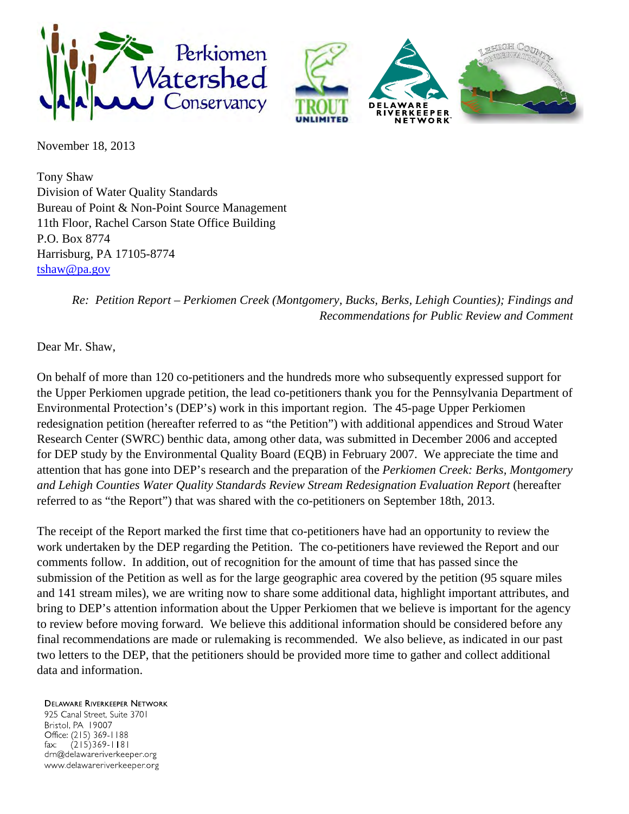

November 18, 2013

Tony Shaw Division of Water Quality Standards Bureau of Point & Non-Point Source Management 11th Floor, Rachel Carson State Office Building P.O. Box 8774 Harrisburg, PA 17105-8774 tshaw@pa.gov

> *Re: Petition Report – Perkiomen Creek (Montgomery, Bucks, Berks, Lehigh Counties); Findings and Recommendations for Public Review and Comment*

Dear Mr. Shaw,

On behalf of more than 120 co-petitioners and the hundreds more who subsequently expressed support for the Upper Perkiomen upgrade petition, the lead co-petitioners thank you for the Pennsylvania Department of Environmental Protection's (DEP's) work in this important region. The 45-page Upper Perkiomen redesignation petition (hereafter referred to as "the Petition") with additional appendices and Stroud Water Research Center (SWRC) benthic data, among other data, was submitted in December 2006 and accepted for DEP study by the Environmental Quality Board (EQB) in February 2007. We appreciate the time and attention that has gone into DEP's research and the preparation of the *Perkiomen Creek: Berks, Montgomery and Lehigh Counties Water Quality Standards Review Stream Redesignation Evaluation Report* (hereafter referred to as "the Report") that was shared with the co-petitioners on September 18th, 2013.

The receipt of the Report marked the first time that co-petitioners have had an opportunity to review the work undertaken by the DEP regarding the Petition. The co-petitioners have reviewed the Report and our comments follow. In addition, out of recognition for the amount of time that has passed since the submission of the Petition as well as for the large geographic area covered by the petition (95 square miles and 141 stream miles), we are writing now to share some additional data, highlight important attributes, and bring to DEP's attention information about the Upper Perkiomen that we believe is important for the agency to review before moving forward. We believe this additional information should be considered before any final recommendations are made or rulemaking is recommended. We also believe, as indicated in our past two letters to the DEP, that the petitioners should be provided more time to gather and collect additional data and information.

**DELAWARE RIVERKEEPER NETWORK** 

925 Canal Street, Suite 3701 Bristol, PA 19007 Office: (215) 369-1188  $(215)369 - 1181$ fax: drn@delawareriverkeeper.org www.delawareriverkeeper.org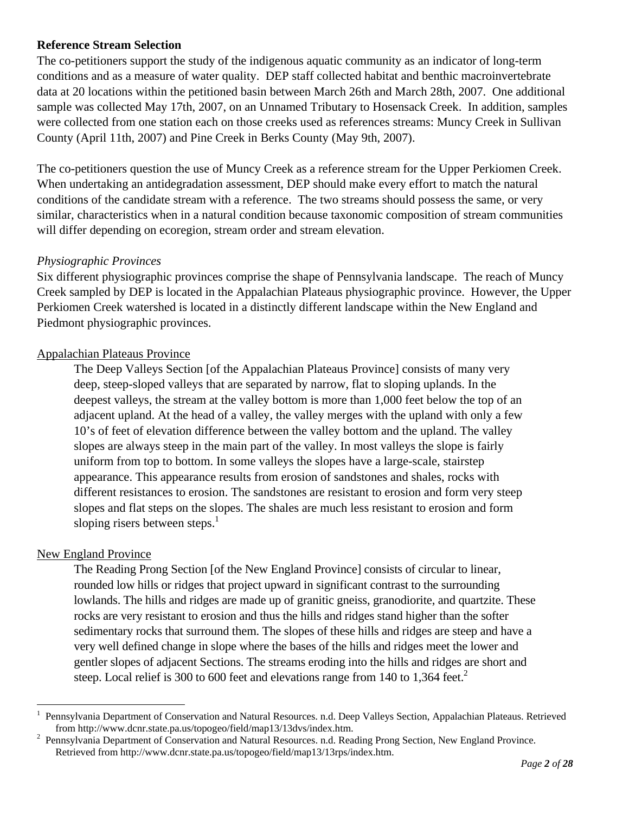### **Reference Stream Selection**

The co-petitioners support the study of the indigenous aquatic community as an indicator of long-term conditions and as a measure of water quality. DEP staff collected habitat and benthic macroinvertebrate data at 20 locations within the petitioned basin between March 26th and March 28th, 2007. One additional sample was collected May 17th, 2007, on an Unnamed Tributary to Hosensack Creek. In addition, samples were collected from one station each on those creeks used as references streams: Muncy Creek in Sullivan County (April 11th, 2007) and Pine Creek in Berks County (May 9th, 2007).

The co-petitioners question the use of Muncy Creek as a reference stream for the Upper Perkiomen Creek. When undertaking an antidegradation assessment, DEP should make every effort to match the natural conditions of the candidate stream with a reference. The two streams should possess the same, or very similar, characteristics when in a natural condition because taxonomic composition of stream communities will differ depending on ecoregion, stream order and stream elevation.

### *Physiographic Provinces*

Six different physiographic provinces comprise the shape of Pennsylvania landscape. The reach of Muncy Creek sampled by DEP is located in the Appalachian Plateaus physiographic province. However, the Upper Perkiomen Creek watershed is located in a distinctly different landscape within the New England and Piedmont physiographic provinces.

### Appalachian Plateaus Province

The Deep Valleys Section [of the Appalachian Plateaus Province] consists of many very deep, steep-sloped valleys that are separated by narrow, flat to sloping uplands. In the deepest valleys, the stream at the valley bottom is more than 1,000 feet below the top of an adjacent upland. At the head of a valley, the valley merges with the upland with only a few 10's of feet of elevation difference between the valley bottom and the upland. The valley slopes are always steep in the main part of the valley. In most valleys the slope is fairly uniform from top to bottom. In some valleys the slopes have a large-scale, stairstep appearance. This appearance results from erosion of sandstones and shales, rocks with different resistances to erosion. The sandstones are resistant to erosion and form very steep slopes and flat steps on the slopes. The shales are much less resistant to erosion and form sloping risers between steps. $<sup>1</sup>$ </sup>

### New England Province

1

The Reading Prong Section [of the New England Province] consists of circular to linear, rounded low hills or ridges that project upward in significant contrast to the surrounding lowlands. The hills and ridges are made up of granitic gneiss, granodiorite, and quartzite. These rocks are very resistant to erosion and thus the hills and ridges stand higher than the softer sedimentary rocks that surround them. The slopes of these hills and ridges are steep and have a very well defined change in slope where the bases of the hills and ridges meet the lower and gentler slopes of adjacent Sections. The streams eroding into the hills and ridges are short and steep. Local relief is 300 to 600 feet and elevations range from 140 to 1,364 feet.<sup>2</sup>

<sup>1</sup> Pennsylvania Department of Conservation and Natural Resources. n.d. Deep Valleys Section, Appalachian Plateaus. Retrieved from http://www.dcnr.state.pa.us/topogeo/field/map13/13dvs/index.htm.<br><sup>2</sup> Pennsylvania Department of Conservation and Natural Resources n.d. Rea

Pennsylvania Department of Conservation and Natural Resources. n.d. Reading Prong Section, New England Province. Retrieved from http://www.dcnr.state.pa.us/topogeo/field/map13/13rps/index.htm.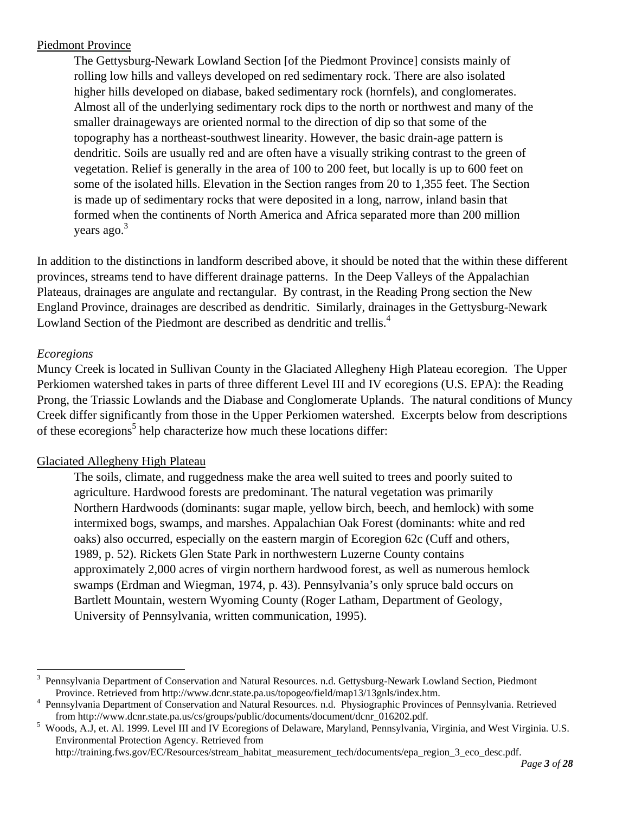## Piedmont Province

The Gettysburg-Newark Lowland Section [of the Piedmont Province] consists mainly of rolling low hills and valleys developed on red sedimentary rock. There are also isolated higher hills developed on diabase, baked sedimentary rock (hornfels), and conglomerates. Almost all of the underlying sedimentary rock dips to the north or northwest and many of the smaller drainageways are oriented normal to the direction of dip so that some of the topography has a northeast-southwest linearity. However, the basic drain-age pattern is dendritic. Soils are usually red and are often have a visually striking contrast to the green of vegetation. Relief is generally in the area of 100 to 200 feet, but locally is up to 600 feet on some of the isolated hills. Elevation in the Section ranges from 20 to 1,355 feet. The Section is made up of sedimentary rocks that were deposited in a long, narrow, inland basin that formed when the continents of North America and Africa separated more than 200 million years ago. $3$ 

In addition to the distinctions in landform described above, it should be noted that the within these different provinces, streams tend to have different drainage patterns. In the Deep Valleys of the Appalachian Plateaus, drainages are angulate and rectangular. By contrast, in the Reading Prong section the New England Province, drainages are described as dendritic. Similarly, drainages in the Gettysburg-Newark Lowland Section of the Piedmont are described as dendritic and trellis.<sup>4</sup>

## *Ecoregions*

 $\overline{a}$ 

Muncy Creek is located in Sullivan County in the Glaciated Allegheny High Plateau ecoregion. The Upper Perkiomen watershed takes in parts of three different Level III and IV ecoregions (U.S. EPA): the Reading Prong, the Triassic Lowlands and the Diabase and Conglomerate Uplands. The natural conditions of Muncy Creek differ significantly from those in the Upper Perkiomen watershed. Excerpts below from descriptions of these ecoregions<sup>5</sup> help characterize how much these locations differ:

## Glaciated Allegheny High Plateau

The soils, climate, and ruggedness make the area well suited to trees and poorly suited to agriculture. Hardwood forests are predominant. The natural vegetation was primarily Northern Hardwoods (dominants: sugar maple, yellow birch, beech, and hemlock) with some intermixed bogs, swamps, and marshes. Appalachian Oak Forest (dominants: white and red oaks) also occurred, especially on the eastern margin of Ecoregion 62c (Cuff and others, 1989, p. 52). Rickets Glen State Park in northwestern Luzerne County contains approximately 2,000 acres of virgin northern hardwood forest, as well as numerous hemlock swamps (Erdman and Wiegman, 1974, p. 43). Pennsylvania's only spruce bald occurs on Bartlett Mountain, western Wyoming County (Roger Latham, Department of Geology, University of Pennsylvania, written communication, 1995).

<sup>3</sup> Pennsylvania Department of Conservation and Natural Resources. n.d. Gettysburg-Newark Lowland Section, Piedmont Province. Retrieved from http://www.dcnr.state.pa.us/topogeo/field/map13/13gnls/index.htm. 4

Pennsylvania Department of Conservation and Natural Resources. n.d. Physiographic Provinces of Pennsylvania. Retrieved from http://www.dcnr.state.pa.us/cs/groups/public/documents/document/dcnr\_016202.pdf. 5

<sup>&</sup>lt;sup>5</sup> Woods, A.J, et. Al. 1999. Level III and IV Ecoregions of Delaware, Maryland, Pennsylvania, Virginia, and West Virginia. U.S. Environmental Protection Agency. Retrieved from

http://training.fws.gov/EC/Resources/stream\_habitat\_measurement\_tech/documents/epa\_region\_3\_eco\_desc.pdf.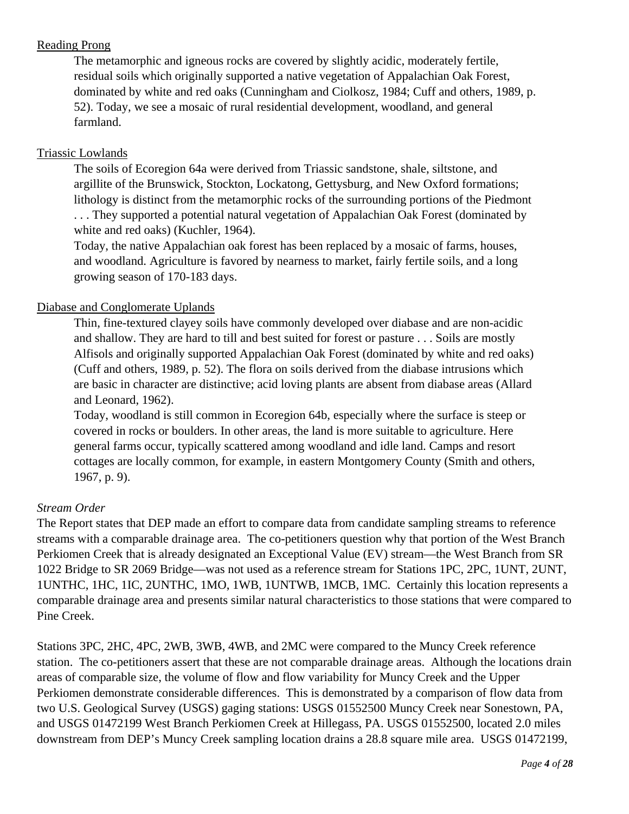# Reading Prong

The metamorphic and igneous rocks are covered by slightly acidic, moderately fertile, residual soils which originally supported a native vegetation of Appalachian Oak Forest, dominated by white and red oaks (Cunningham and Ciolkosz, 1984; Cuff and others, 1989, p. 52). Today, we see a mosaic of rural residential development, woodland, and general farmland.

## Triassic Lowlands

The soils of Ecoregion 64a were derived from Triassic sandstone, shale, siltstone, and argillite of the Brunswick, Stockton, Lockatong, Gettysburg, and New Oxford formations; lithology is distinct from the metamorphic rocks of the surrounding portions of the Piedmont . . . They supported a potential natural vegetation of Appalachian Oak Forest (dominated by white and red oaks) (Kuchler, 1964).

Today, the native Appalachian oak forest has been replaced by a mosaic of farms, houses, and woodland. Agriculture is favored by nearness to market, fairly fertile soils, and a long growing season of 170-183 days.

# Diabase and Conglomerate Uplands

Thin, fine-textured clayey soils have commonly developed over diabase and are non-acidic and shallow. They are hard to till and best suited for forest or pasture . . . Soils are mostly Alfisols and originally supported Appalachian Oak Forest (dominated by white and red oaks) (Cuff and others, 1989, p. 52). The flora on soils derived from the diabase intrusions which are basic in character are distinctive; acid loving plants are absent from diabase areas (Allard and Leonard, 1962).

Today, woodland is still common in Ecoregion 64b, especially where the surface is steep or covered in rocks or boulders. In other areas, the land is more suitable to agriculture. Here general farms occur, typically scattered among woodland and idle land. Camps and resort cottages are locally common, for example, in eastern Montgomery County (Smith and others, 1967, p. 9).

## *Stream Order*

The Report states that DEP made an effort to compare data from candidate sampling streams to reference streams with a comparable drainage area. The co-petitioners question why that portion of the West Branch Perkiomen Creek that is already designated an Exceptional Value (EV) stream—the West Branch from SR 1022 Bridge to SR 2069 Bridge—was not used as a reference stream for Stations 1PC, 2PC, 1UNT, 2UNT, 1UNTHC, 1HC, 1IC, 2UNTHC, 1MO, 1WB, 1UNTWB, 1MCB, 1MC. Certainly this location represents a comparable drainage area and presents similar natural characteristics to those stations that were compared to Pine Creek.

Stations 3PC, 2HC, 4PC, 2WB, 3WB, 4WB, and 2MC were compared to the Muncy Creek reference station. The co-petitioners assert that these are not comparable drainage areas. Although the locations drain areas of comparable size, the volume of flow and flow variability for Muncy Creek and the Upper Perkiomen demonstrate considerable differences. This is demonstrated by a comparison of flow data from two U.S. Geological Survey (USGS) gaging stations: USGS 01552500 Muncy Creek near Sonestown, PA, and USGS 01472199 West Branch Perkiomen Creek at Hillegass, PA. USGS 01552500, located 2.0 miles downstream from DEP's Muncy Creek sampling location drains a 28.8 square mile area. USGS 01472199,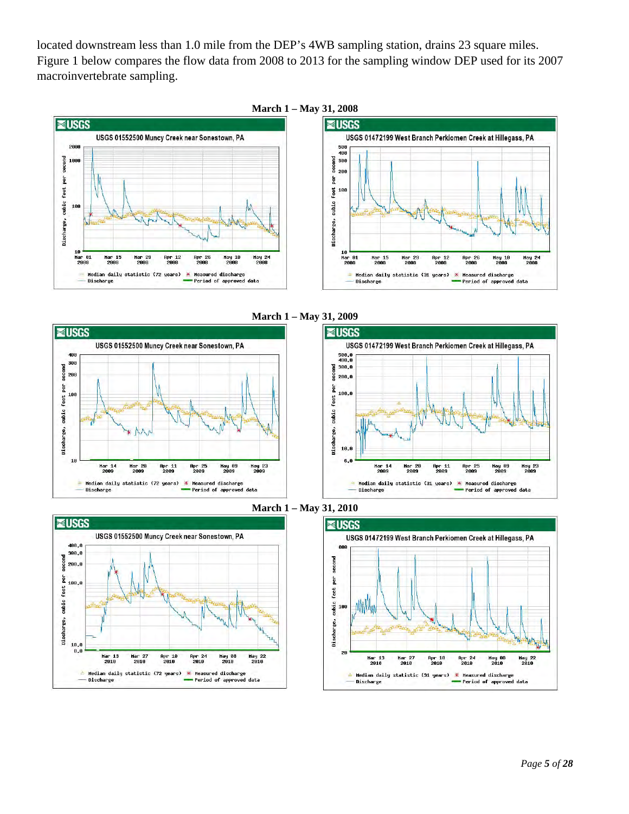located downstream less than 1.0 mile from the DEP's 4WB sampling station, drains 23 square miles. Figure 1 below compares the flow data from 2008 to 2013 for the sampling window DEP used for its 2007 macroinvertebrate sampling.



**March 1 – May 31, 2009**







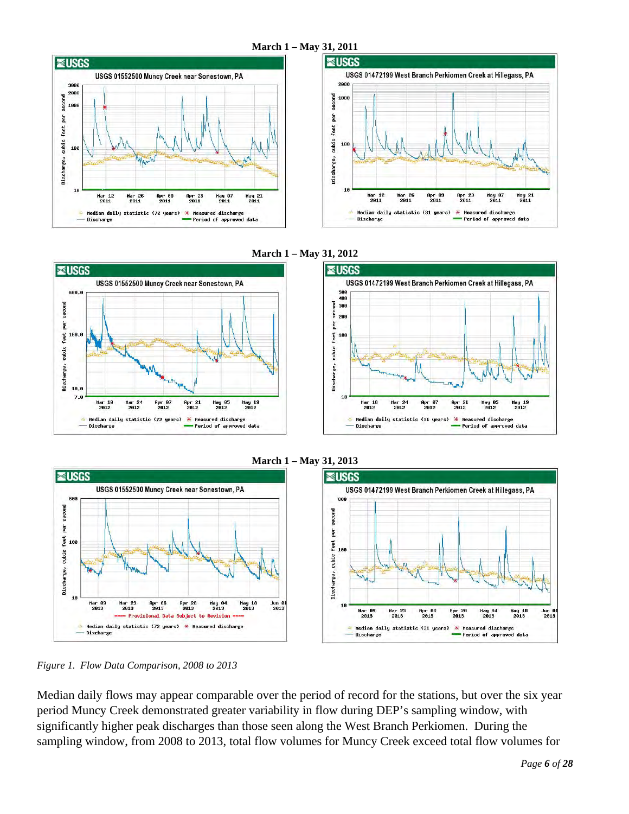







**March 1 – May 31, 2012**





*Figure 1. Flow Data Comparison, 2008 to 2013* 

Median daily flows may appear comparable over the period of record for the stations, but over the six year period Muncy Creek demonstrated greater variability in flow during DEP's sampling window, with significantly higher peak discharges than those seen along the West Branch Perkiomen. During the sampling window, from 2008 to 2013, total flow volumes for Muncy Creek exceed total flow volumes for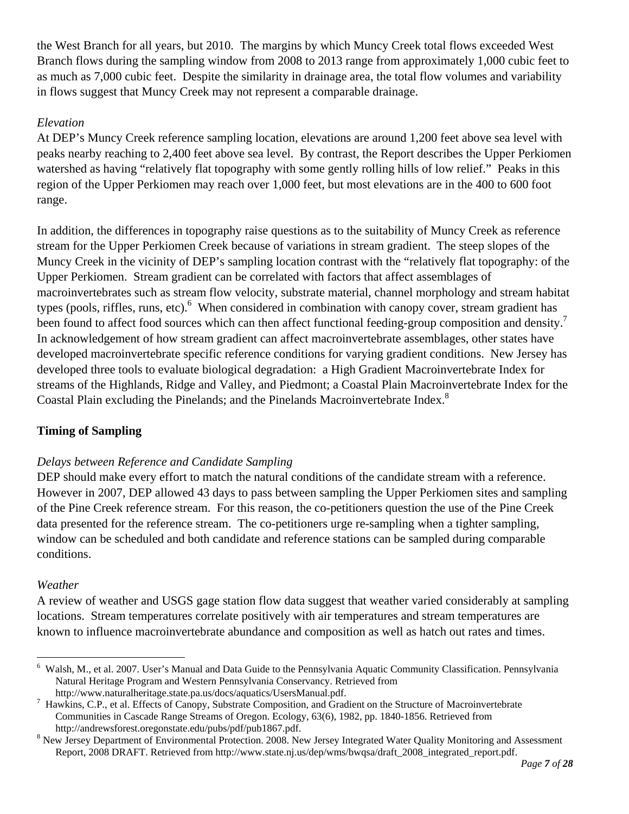the West Branch for all years, but 2010. The margins by which Muncy Creek total flows exceeded West Branch flows during the sampling window from 2008 to 2013 range from approximately 1,000 cubic feet to as much as 7,000 cubic feet. Despite the similarity in drainage area, the total flow volumes and variability in flows suggest that Muncy Creek may not represent a comparable drainage.

## *Elevation*

At DEP's Muncy Creek reference sampling location, elevations are around 1,200 feet above sea level with peaks nearby reaching to 2,400 feet above sea level. By contrast, the Report describes the Upper Perkiomen watershed as having "relatively flat topography with some gently rolling hills of low relief." Peaks in this region of the Upper Perkiomen may reach over 1,000 feet, but most elevations are in the 400 to 600 foot range.

In addition, the differences in topography raise questions as to the suitability of Muncy Creek as reference stream for the Upper Perkiomen Creek because of variations in stream gradient. The steep slopes of the Muncy Creek in the vicinity of DEP's sampling location contrast with the "relatively flat topography: of the Upper Perkiomen. Stream gradient can be correlated with factors that affect assemblages of macroinvertebrates such as stream flow velocity, substrate material, channel morphology and stream habitat types (pools, riffles, runs, etc). <sup>6</sup> When considered in combination with canopy cover, stream gradient has been found to affect food sources which can then affect functional feeding-group composition and density.<sup>7</sup> In acknowledgement of how stream gradient can affect macroinvertebrate assemblages, other states have developed macroinvertebrate specific reference conditions for varying gradient conditions. New Jersey has developed three tools to evaluate biological degradation: a High Gradient Macroinvertebrate Index for streams of the Highlands, Ridge and Valley, and Piedmont; a Coastal Plain Macroinvertebrate Index for the Coastal Plain excluding the Pinelands; and the Pinelands Macroinvertebrate Index.<sup>8</sup>

## **Timing of Sampling**

## *Delays between Reference and Candidate Sampling*

DEP should make every effort to match the natural conditions of the candidate stream with a reference. However in 2007, DEP allowed 43 days to pass between sampling the Upper Perkiomen sites and sampling of the Pine Creek reference stream. For this reason, the co-petitioners question the use of the Pine Creek data presented for the reference stream. The co-petitioners urge re-sampling when a tighter sampling, window can be scheduled and both candidate and reference stations can be sampled during comparable conditions.

## *Weather*

1

A review of weather and USGS gage station flow data suggest that weather varied considerably at sampling locations. Stream temperatures correlate positively with air temperatures and stream temperatures are known to influence macroinvertebrate abundance and composition as well as hatch out rates and times.

<sup>&</sup>lt;sup>6</sup> Walsh, M., et al. 2007. User's Manual and Data Guide to the Pennsylvania Aquatic Community Classification. Pennsylvania Natural Heritage Program and Western Pennsylvania Conservancy. Retrieved from http://www.naturalheritage.state.pa.us/docs/aquatics/UsersManual.pdf. 7

<sup>&</sup>lt;sup>7</sup> Hawkins, C.P., et al. Effects of Canopy, Substrate Composition, and Gradient on the Structure of Macroinvertebrate Communities in Cascade Range Streams of Oregon. Ecology, 63(6), 1982, pp. 1840-1856. Retrieved from http://andrewsforest.oregonstate.edu/pubs/pdf/pub1867.pdf.

<sup>&</sup>lt;sup>8</sup> New Jersey Department of Environmental Protection. 2008. New Jersey Integrated Water Quality Monitoring and Assessment Report, 2008 DRAFT. Retrieved from http://www.state.nj.us/dep/wms/bwqsa/draft\_2008\_integrated\_report.pdf.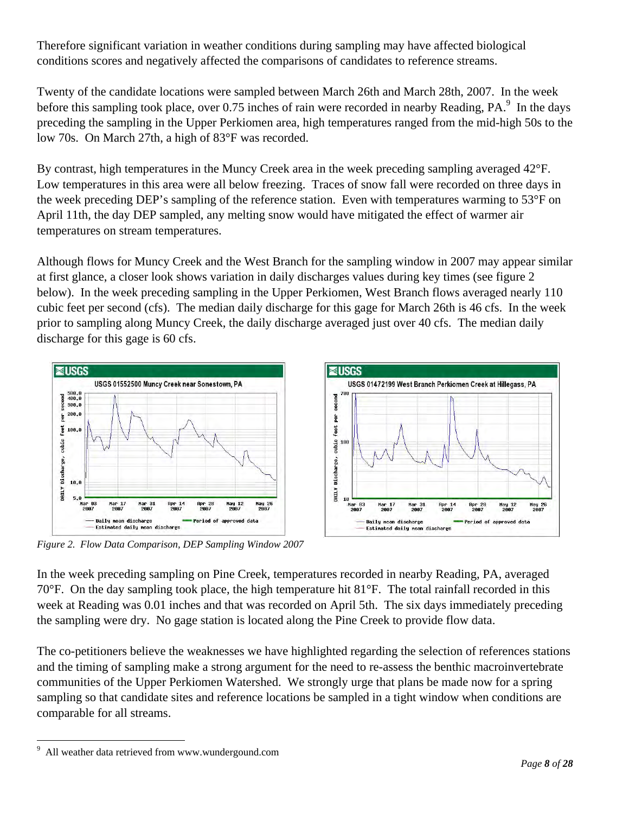Therefore significant variation in weather conditions during sampling may have affected biological conditions scores and negatively affected the comparisons of candidates to reference streams.

Twenty of the candidate locations were sampled between March 26th and March 28th, 2007. In the week before this sampling took place, over 0.75 inches of rain were recorded in nearby Reading,  $PA.^9$  In the days preceding the sampling in the Upper Perkiomen area, high temperatures ranged from the mid-high 50s to the low 70s. On March 27th, a high of 83°F was recorded.

By contrast, high temperatures in the Muncy Creek area in the week preceding sampling averaged 42°F. Low temperatures in this area were all below freezing. Traces of snow fall were recorded on three days in the week preceding DEP's sampling of the reference station. Even with temperatures warming to 53°F on April 11th, the day DEP sampled, any melting snow would have mitigated the effect of warmer air temperatures on stream temperatures.

Although flows for Muncy Creek and the West Branch for the sampling window in 2007 may appear similar at first glance, a closer look shows variation in daily discharges values during key times (see figure 2 below). In the week preceding sampling in the Upper Perkiomen, West Branch flows averaged nearly 110 cubic feet per second (cfs). The median daily discharge for this gage for March 26th is 46 cfs. In the week prior to sampling along Muncy Creek, the daily discharge averaged just over 40 cfs. The median daily discharge for this gage is 60 cfs.



*Figure 2. Flow Data Comparison, DEP Sampling Window 2007* 

In the week preceding sampling on Pine Creek, temperatures recorded in nearby Reading, PA, averaged 70°F. On the day sampling took place, the high temperature hit 81°F. The total rainfall recorded in this week at Reading was 0.01 inches and that was recorded on April 5th. The six days immediately preceding the sampling were dry. No gage station is located along the Pine Creek to provide flow data.

The co-petitioners believe the weaknesses we have highlighted regarding the selection of references stations and the timing of sampling make a strong argument for the need to re-assess the benthic macroinvertebrate communities of the Upper Perkiomen Watershed. We strongly urge that plans be made now for a spring sampling so that candidate sites and reference locations be sampled in a tight window when conditions are comparable for all streams.

<sup>1</sup> 9 All weather data retrieved from www.wundergound.com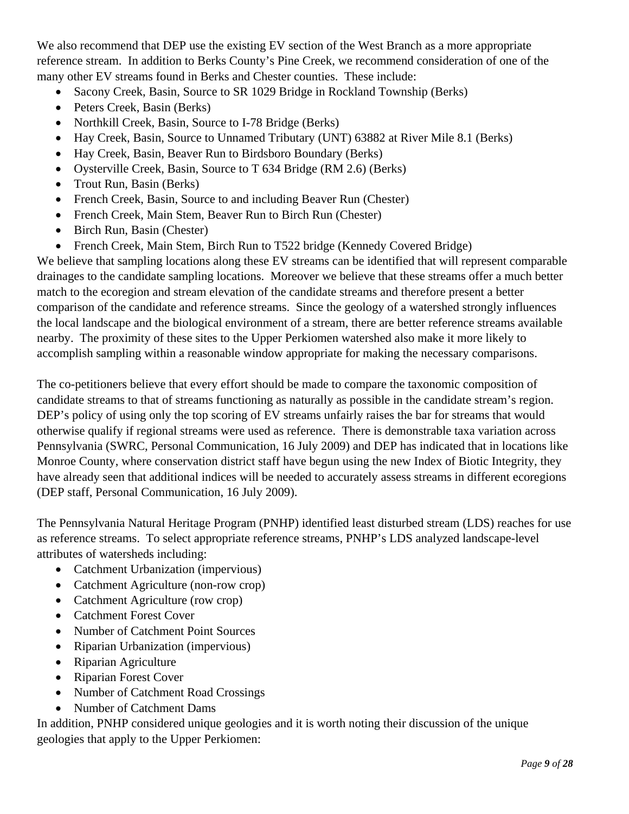We also recommend that DEP use the existing EV section of the West Branch as a more appropriate reference stream. In addition to Berks County's Pine Creek, we recommend consideration of one of the many other EV streams found in Berks and Chester counties. These include:

- Sacony Creek, Basin, Source to SR 1029 Bridge in Rockland Township (Berks)
- Peters Creek, Basin (Berks)
- Northkill Creek, Basin, Source to I-78 Bridge (Berks)
- Hay Creek, Basin, Source to Unnamed Tributary (UNT) 63882 at River Mile 8.1 (Berks)
- Hay Creek, Basin, Beaver Run to Birdsboro Boundary (Berks)
- Oysterville Creek, Basin, Source to T 634 Bridge (RM 2.6) (Berks)
- Trout Run, Basin (Berks)
- French Creek, Basin, Source to and including Beaver Run (Chester)
- French Creek, Main Stem, Beaver Run to Birch Run (Chester)
- Birch Run, Basin (Chester)
- French Creek, Main Stem, Birch Run to T522 bridge (Kennedy Covered Bridge)

We believe that sampling locations along these EV streams can be identified that will represent comparable drainages to the candidate sampling locations. Moreover we believe that these streams offer a much better match to the ecoregion and stream elevation of the candidate streams and therefore present a better comparison of the candidate and reference streams. Since the geology of a watershed strongly influences the local landscape and the biological environment of a stream, there are better reference streams available nearby. The proximity of these sites to the Upper Perkiomen watershed also make it more likely to accomplish sampling within a reasonable window appropriate for making the necessary comparisons.

The co-petitioners believe that every effort should be made to compare the taxonomic composition of candidate streams to that of streams functioning as naturally as possible in the candidate stream's region. DEP's policy of using only the top scoring of EV streams unfairly raises the bar for streams that would otherwise qualify if regional streams were used as reference. There is demonstrable taxa variation across Pennsylvania (SWRC, Personal Communication, 16 July 2009) and DEP has indicated that in locations like Monroe County, where conservation district staff have begun using the new Index of Biotic Integrity, they have already seen that additional indices will be needed to accurately assess streams in different ecoregions (DEP staff, Personal Communication, 16 July 2009).

The Pennsylvania Natural Heritage Program (PNHP) identified least disturbed stream (LDS) reaches for use as reference streams. To select appropriate reference streams, PNHP's LDS analyzed landscape-level attributes of watersheds including:

- Catchment Urbanization (impervious)
- Catchment Agriculture (non-row crop)
- Catchment Agriculture (row crop)
- Catchment Forest Cover
- Number of Catchment Point Sources
- Riparian Urbanization (impervious)
- Riparian Agriculture
- Riparian Forest Cover
- Number of Catchment Road Crossings
- Number of Catchment Dams

In addition, PNHP considered unique geologies and it is worth noting their discussion of the unique geologies that apply to the Upper Perkiomen: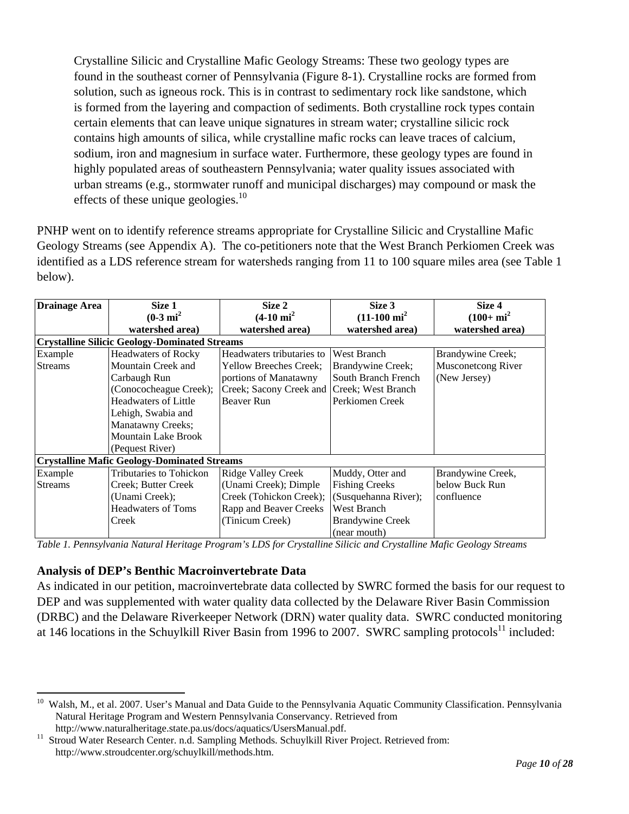Crystalline Silicic and Crystalline Mafic Geology Streams: These two geology types are found in the southeast corner of Pennsylvania (Figure 8-1). Crystalline rocks are formed from solution, such as igneous rock. This is in contrast to sedimentary rock like sandstone, which is formed from the layering and compaction of sediments. Both crystalline rock types contain certain elements that can leave unique signatures in stream water; crystalline silicic rock contains high amounts of silica, while crystalline mafic rocks can leave traces of calcium, sodium, iron and magnesium in surface water. Furthermore, these geology types are found in highly populated areas of southeastern Pennsylvania; water quality issues associated with urban streams (e.g., stormwater runoff and municipal discharges) may compound or mask the effects of these unique geologies. $10$ 

PNHP went on to identify reference streams appropriate for Crystalline Silicic and Crystalline Mafic Geology Streams (see Appendix A). The co-petitioners note that the West Branch Perkiomen Creek was identified as a LDS reference stream for watersheds ranging from 11 to 100 square miles area (see Table 1 below).

| <b>Drainage Area</b> | Size 1                                               | Size 2                                     | Size 3                  | Size 4                    |
|----------------------|------------------------------------------------------|--------------------------------------------|-------------------------|---------------------------|
|                      | $(0-3 \text{ mi}^2)$                                 | $(4-10 \text{ mi}^2)$                      | $(11-100 \text{ mi}^2)$ | $(100+mi^2)$              |
|                      | watershed area)                                      | watershed area)                            | watershed area)         | watershed area)           |
|                      | <b>Crystalline Silicic Geology-Dominated Streams</b> |                                            |                         |                           |
| Example              | <b>Headwaters of Rocky</b>                           | Headwaters tributaries to                  | <b>West Branch</b>      | Brandywine Creek;         |
| <b>Streams</b>       | Mountain Creek and                                   | <b>Yellow Breeches Creek:</b>              | Brandywine Creek;       | <b>Musconetcong River</b> |
|                      | Carbaugh Run                                         | portions of Manatawny                      | South Branch French     | (New Jersey)              |
|                      | (Conococheague Creek);                               | Creek; Sacony Creek and Creek; West Branch |                         |                           |
|                      | Headwaters of Little                                 | Beaver Run                                 | Perkiomen Creek         |                           |
|                      | Lehigh, Swabia and                                   |                                            |                         |                           |
|                      | Manatawny Creeks;                                    |                                            |                         |                           |
|                      | Mountain Lake Brook                                  |                                            |                         |                           |
|                      | (Pequest River)                                      |                                            |                         |                           |
|                      | <b>Crystalline Mafic Geology-Dominated Streams</b>   |                                            |                         |                           |
| Example              | Tributaries to Tohickon                              | Ridge Valley Creek                         | Muddy, Otter and        | Brandywine Creek,         |
| <b>Streams</b>       | Creek; Butter Creek                                  | (Unami Creek); Dimple                      | <b>Fishing Creeks</b>   | below Buck Run            |
|                      | (Unami Creek);                                       | Creek (Tohickon Creek);                    | (Susquehanna River);    | confluence                |
|                      | <b>Headwaters of Toms</b>                            | Rapp and Beaver Creeks                     | <b>West Branch</b>      |                           |
|                      | Creek                                                | (Tinicum Creek)                            | <b>Brandywine Creek</b> |                           |
|                      |                                                      |                                            | (near mouth)            |                           |

*Table 1. Pennsylvania Natural Heritage Program's LDS for Crystalline Silicic and Crystalline Mafic Geology Streams* 

## **Analysis of DEP's Benthic Macroinvertebrate Data**

As indicated in our petition, macroinvertebrate data collected by SWRC formed the basis for our request to DEP and was supplemented with water quality data collected by the Delaware River Basin Commission (DRBC) and the Delaware Riverkeeper Network (DRN) water quality data. SWRC conducted monitoring at 146 locations in the Schuylkill River Basin from 1996 to 2007. SWRC sampling protocols<sup>11</sup> included:

 $10\,$ 10 Walsh, M., et al. 2007. User's Manual and Data Guide to the Pennsylvania Aquatic Community Classification. Pennsylvania Natural Heritage Program and Western Pennsylvania Conservancy. Retrieved from

http://www.naturalheritage.state.pa.us/docs/aquatics/UsersManual.pdf.<br><sup>11</sup> Stroud Water Research Center. n.d. Sampling Methods. Schuylkill River Project. Retrieved from: http://www.stroudcenter.org/schuylkill/methods.htm.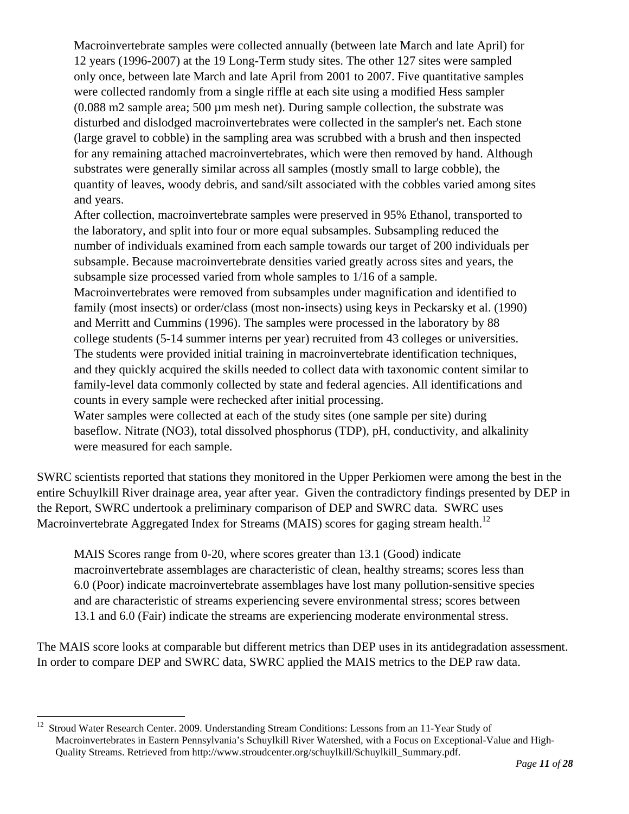Macroinvertebrate samples were collected annually (between late March and late April) for 12 years (1996-2007) at the 19 Long-Term study sites. The other 127 sites were sampled only once, between late March and late April from 2001 to 2007. Five quantitative samples were collected randomly from a single riffle at each site using a modified Hess sampler (0.088 m2 sample area; 500 µm mesh net). During sample collection, the substrate was disturbed and dislodged macroinvertebrates were collected in the sampler's net. Each stone (large gravel to cobble) in the sampling area was scrubbed with a brush and then inspected for any remaining attached macroinvertebrates, which were then removed by hand. Although substrates were generally similar across all samples (mostly small to large cobble), the quantity of leaves, woody debris, and sand/silt associated with the cobbles varied among sites and years.

After collection, macroinvertebrate samples were preserved in 95% Ethanol, transported to the laboratory, and split into four or more equal subsamples. Subsampling reduced the number of individuals examined from each sample towards our target of 200 individuals per subsample. Because macroinvertebrate densities varied greatly across sites and years, the subsample size processed varied from whole samples to 1/16 of a sample.

Macroinvertebrates were removed from subsamples under magnification and identified to family (most insects) or order/class (most non-insects) using keys in Peckarsky et al. (1990) and Merritt and Cummins (1996). The samples were processed in the laboratory by 88 college students (5-14 summer interns per year) recruited from 43 colleges or universities. The students were provided initial training in macroinvertebrate identification techniques, and they quickly acquired the skills needed to collect data with taxonomic content similar to family-level data commonly collected by state and federal agencies. All identifications and counts in every sample were rechecked after initial processing.

Water samples were collected at each of the study sites (one sample per site) during baseflow. Nitrate (NO3), total dissolved phosphorus (TDP), pH, conductivity, and alkalinity were measured for each sample.

SWRC scientists reported that stations they monitored in the Upper Perkiomen were among the best in the entire Schuylkill River drainage area, year after year. Given the contradictory findings presented by DEP in the Report, SWRC undertook a preliminary comparison of DEP and SWRC data. SWRC uses Macroinvertebrate Aggregated Index for Streams (MAIS) scores for gaging stream health.<sup>12</sup>

MAIS Scores range from 0-20, where scores greater than 13.1 (Good) indicate macroinvertebrate assemblages are characteristic of clean, healthy streams; scores less than 6.0 (Poor) indicate macroinvertebrate assemblages have lost many pollution-sensitive species and are characteristic of streams experiencing severe environmental stress; scores between 13.1 and 6.0 (Fair) indicate the streams are experiencing moderate environmental stress.

The MAIS score looks at comparable but different metrics than DEP uses in its antidegradation assessment. In order to compare DEP and SWRC data, SWRC applied the MAIS metrics to the DEP raw data.

<sup>1</sup> <sup>12</sup> Stroud Water Research Center. 2009. Understanding Stream Conditions: Lessons from an 11-Year Study of Macroinvertebrates in Eastern Pennsylvania's Schuylkill River Watershed, with a Focus on Exceptional-Value and High-Quality Streams. Retrieved from http://www.stroudcenter.org/schuylkill/Schuylkill\_Summary.pdf.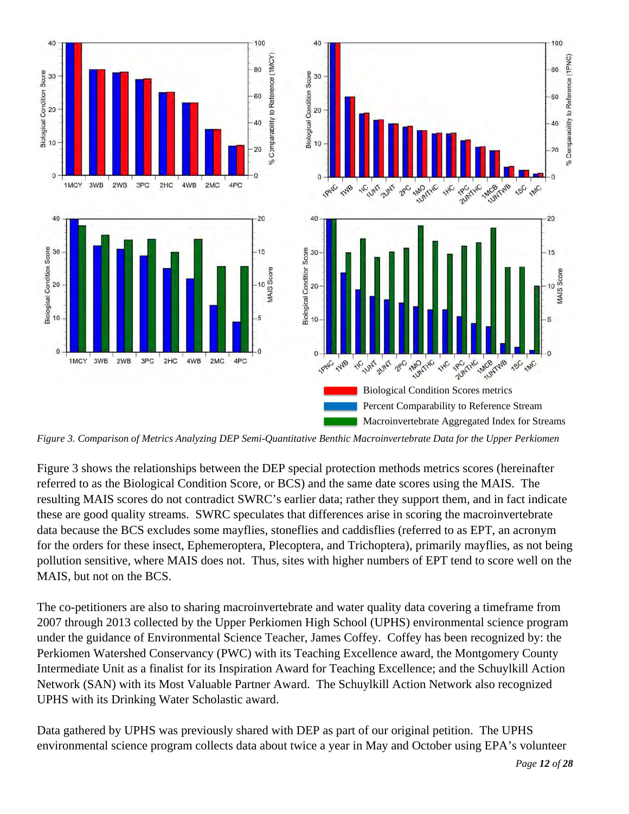

*Figure 3. Comparison of Metrics Analyzing DEP Semi-Quantitative Benthic Macroinvertebrate Data for the Upper Perkiomen* 

Figure 3 shows the relationships between the DEP special protection methods metrics scores (hereinafter referred to as the Biological Condition Score, or BCS) and the same date scores using the MAIS. The resulting MAIS scores do not contradict SWRC's earlier data; rather they support them, and in fact indicate these are good quality streams. SWRC speculates that differences arise in scoring the macroinvertebrate data because the BCS excludes some mayflies, stoneflies and caddisflies (referred to as EPT, an acronym for the orders for these insect, Ephemeroptera, Plecoptera, and Trichoptera), primarily mayflies, as not being pollution sensitive, where MAIS does not. Thus, sites with higher numbers of EPT tend to score well on the MAIS, but not on the BCS.

The co-petitioners are also to sharing macroinvertebrate and water quality data covering a timeframe from 2007 through 2013 collected by the Upper Perkiomen High School (UPHS) environmental science program under the guidance of Environmental Science Teacher, James Coffey. Coffey has been recognized by: the Perkiomen Watershed Conservancy (PWC) with its Teaching Excellence award, the Montgomery County Intermediate Unit as a finalist for its Inspiration Award for Teaching Excellence; and the Schuylkill Action Network (SAN) with its Most Valuable Partner Award. The Schuylkill Action Network also recognized UPHS with its Drinking Water Scholastic award.

Data gathered by UPHS was previously shared with DEP as part of our original petition. The UPHS environmental science program collects data about twice a year in May and October using EPA's volunteer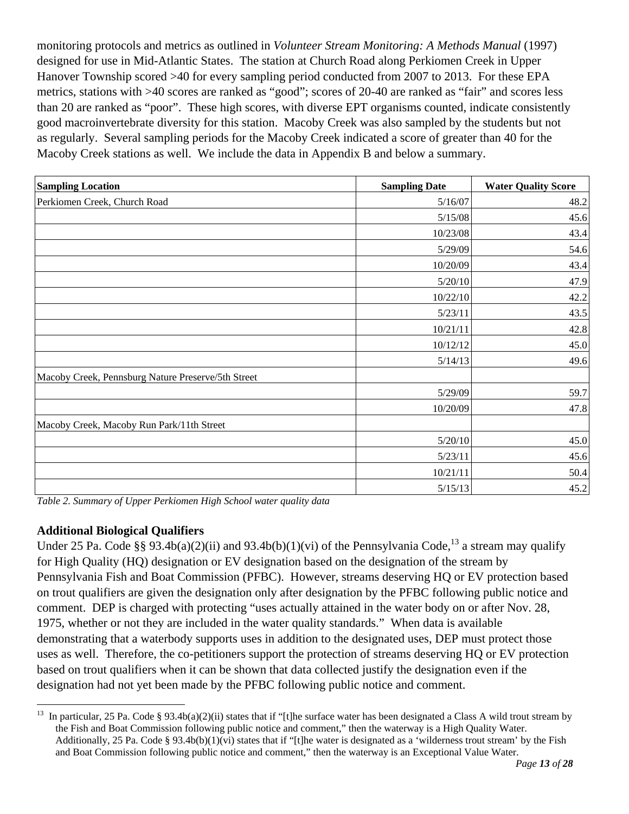monitoring protocols and metrics as outlined in *Volunteer Stream Monitoring: A Methods Manual* (1997) designed for use in Mid-Atlantic States. The station at Church Road along Perkiomen Creek in Upper Hanover Township scored >40 for every sampling period conducted from 2007 to 2013. For these EPA metrics, stations with >40 scores are ranked as "good"; scores of 20-40 are ranked as "fair" and scores less than 20 are ranked as "poor". These high scores, with diverse EPT organisms counted, indicate consistently good macroinvertebrate diversity for this station. Macoby Creek was also sampled by the students but not as regularly. Several sampling periods for the Macoby Creek indicated a score of greater than 40 for the Macoby Creek stations as well. We include the data in Appendix B and below a summary.

| <b>Sampling Location</b>                           | <b>Sampling Date</b> | <b>Water Quality Score</b> |
|----------------------------------------------------|----------------------|----------------------------|
| Perkiomen Creek, Church Road                       | 5/16/07              | 48.2                       |
|                                                    | 5/15/08              | 45.6                       |
|                                                    | 10/23/08             | 43.4                       |
|                                                    | 5/29/09              | 54.6                       |
|                                                    | 10/20/09             | 43.4                       |
|                                                    | 5/20/10              | 47.9                       |
|                                                    | 10/22/10             | 42.2                       |
|                                                    | 5/23/11              | 43.5                       |
|                                                    | 10/21/11             | 42.8                       |
|                                                    | 10/12/12             | 45.0                       |
|                                                    | 5/14/13              | 49.6                       |
| Macoby Creek, Pennsburg Nature Preserve/5th Street |                      |                            |
|                                                    | 5/29/09              | 59.7                       |
|                                                    | 10/20/09             | 47.8                       |
| Macoby Creek, Macoby Run Park/11th Street          |                      |                            |
|                                                    | 5/20/10              | 45.0                       |
|                                                    | 5/23/11              | 45.6                       |
|                                                    | 10/21/11             | 50.4                       |
|                                                    | 5/15/13              | 45.2                       |

*Table 2. Summary of Upper Perkiomen High School water quality data* 

### **Additional Biological Qualifiers**

Under 25 Pa. Code §§ 93.4b(a)(2)(ii) and 93.4b(b)(1)(vi) of the Pennsylvania Code,<sup>13</sup> a stream may qualify for High Quality (HQ) designation or EV designation based on the designation of the stream by Pennsylvania Fish and Boat Commission (PFBC). However, streams deserving HQ or EV protection based on trout qualifiers are given the designation only after designation by the PFBC following public notice and comment. DEP is charged with protecting "uses actually attained in the water body on or after Nov. 28, 1975, whether or not they are included in the water quality standards." When data is available demonstrating that a waterbody supports uses in addition to the designated uses, DEP must protect those uses as well. Therefore, the co-petitioners support the protection of streams deserving HQ or EV protection based on trout qualifiers when it can be shown that data collected justify the designation even if the designation had not yet been made by the PFBC following public notice and comment.

 $13\,$ In particular, 25 Pa. Code § 93.4b(a)(2)(ii) states that if "[t]he surface water has been designated a Class A wild trout stream by the Fish and Boat Commission following public notice and comment," then the waterway is a High Quality Water. Additionally, 25 Pa. Code § 93.4b(b)(1)(vi) states that if "[t]he water is designated as a 'wilderness trout stream' by the Fish and Boat Commission following public notice and comment," then the waterway is an Exceptional Value Water.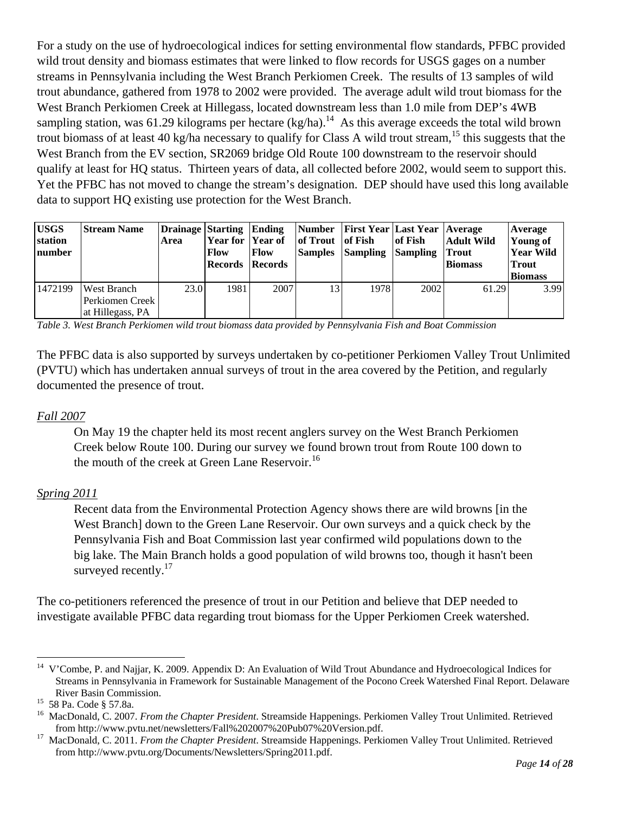For a study on the use of hydroecological indices for setting environmental flow standards, PFBC provided wild trout density and biomass estimates that were linked to flow records for USGS gages on a number streams in Pennsylvania including the West Branch Perkiomen Creek. The results of 13 samples of wild trout abundance, gathered from 1978 to 2002 were provided. The average adult wild trout biomass for the West Branch Perkiomen Creek at Hillegass, located downstream less than 1.0 mile from DEP's 4WB sampling station, was 61.29 kilograms per hectare  $(kg/ha)$ .<sup>14</sup> As this average exceeds the total wild brown trout biomass of at least 40 kg/ha necessary to qualify for Class A wild trout stream, <sup>15</sup> this suggests that the West Branch from the EV section, SR2069 bridge Old Route 100 downstream to the reservoir should qualify at least for HQ status. Thirteen years of data, all collected before 2002, would seem to support this. Yet the PFBC has not moved to change the stream's designation. DEP should have used this long available data to support HQ existing use protection for the West Branch.

| <b>USGS</b><br>station<br>number | <b>Stream Name</b>                                        | Drainage Starting Ending<br>Area | Year for Year of<br><b>Flow</b><br><b>Records Records</b> | <b>Flow</b> | $ $ of Trout $ $ of Fish<br><b>Samples</b> | Number   First Year   Last Year   Average<br><b>Sampling Sampling</b> | of Fish | Adult Wild<br><b>Trout</b><br><b>Biomass</b> | Average<br>Young of<br><b>Year Wild</b><br><b>Trout</b><br><b>Biomass</b> |
|----------------------------------|-----------------------------------------------------------|----------------------------------|-----------------------------------------------------------|-------------|--------------------------------------------|-----------------------------------------------------------------------|---------|----------------------------------------------|---------------------------------------------------------------------------|
| 1472199                          | <b>West Branch</b><br>Perkiomen Creek<br>at Hillegass, PA | 23.0                             | 1981                                                      | 2007        | 13                                         | 1978                                                                  | 2002    | 61.29                                        | 3.99                                                                      |

*Table 3. West Branch Perkiomen wild trout biomass data provided by Pennsylvania Fish and Boat Commission* 

The PFBC data is also supported by surveys undertaken by co-petitioner Perkiomen Valley Trout Unlimited (PVTU) which has undertaken annual surveys of trout in the area covered by the Petition, and regularly documented the presence of trout.

### *Fall 2007*

On May 19 the chapter held its most recent anglers survey on the West Branch Perkiomen Creek below Route 100. During our survey we found brown trout from Route 100 down to the mouth of the creek at Green Lane Reservoir.<sup>16</sup>

#### *Spring 2011*

Recent data from the Environmental Protection Agency shows there are wild browns [in the West Branch] down to the Green Lane Reservoir. Our own surveys and a quick check by the Pennsylvania Fish and Boat Commission last year confirmed wild populations down to the big lake. The Main Branch holds a good population of wild browns too, though it hasn't been surveyed recently.<sup>17</sup>

The co-petitioners referenced the presence of trout in our Petition and believe that DEP needed to investigate available PFBC data regarding trout biomass for the Upper Perkiomen Creek watershed.

 $\overline{a}$ 

<sup>&</sup>lt;sup>14</sup> V'Combe, P. and Najjar, K. 2009. Appendix D: An Evaluation of Wild Trout Abundance and Hydroecological Indices for Streams in Pennsylvania in Framework for Sustainable Management of the Pocono Creek Watershed Final Report. Delaware River Basin Commission.<br>
<sup>15</sup> 58 Pa. Code § 57.8a.<br>
<sup>16</sup> MacDonald C 2007 *From* 

<sup>16</sup> MacDonald, C. 2007. *From the Chapter President*. Streamside Happenings. Perkiomen Valley Trout Unlimited. Retrieved from http://www.pvtu.net/newsletters/Fall%202007%20Pub07%20Version.pdf. 17 MacDonald, C. 2011. *From the Chapter President*. Streamside Happenings. Perkiomen Valley Trout Unlimited. Retrieved

from http://www.pvtu.org/Documents/Newsletters/Spring2011.pdf.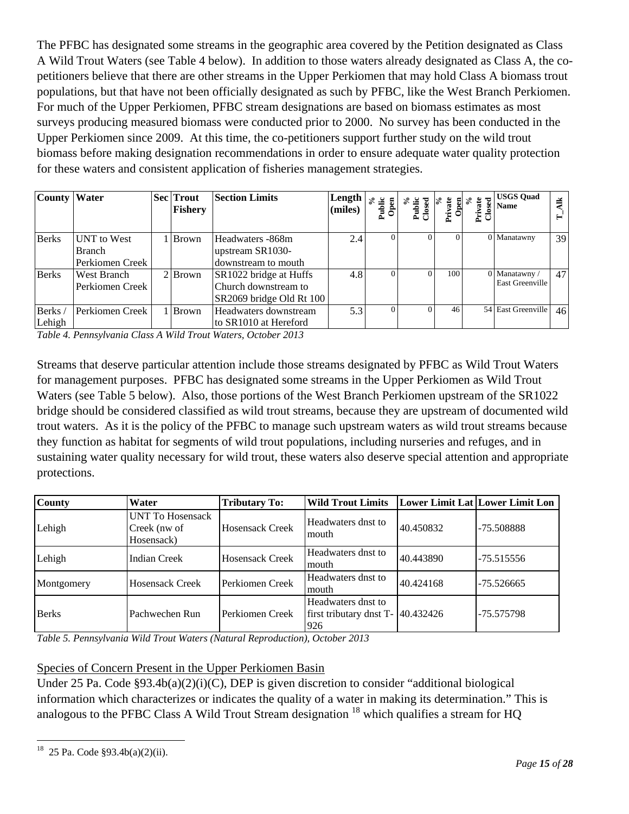The PFBC has designated some streams in the geographic area covered by the Petition designated as Class A Wild Trout Waters (see Table 4 below). In addition to those waters already designated as Class A, the copetitioners believe that there are other streams in the Upper Perkiomen that may hold Class A biomass trout populations, but that have not been officially designated as such by PFBC, like the West Branch Perkiomen. For much of the Upper Perkiomen, PFBC stream designations are based on biomass estimates as most surveys producing measured biomass were conducted prior to 2000. No survey has been conducted in the Upper Perkiomen since 2009. At this time, the co-petitioners support further study on the wild trout biomass before making designation recommendations in order to ensure adequate water quality protection for these waters and consistent application of fisheries management strategies.

| <b>County Water</b> |                 | Sec Trout<br>Fishery | <b>Section Limits</b>    | Length<br>(miles) | Public<br>Open | Public<br>Closed | Private<br>Open<br>% | ᄝ<br>Private<br>$\log$ | <b>USGS Quad</b><br><b>Name</b> | ≚<br>⊨          |
|---------------------|-----------------|----------------------|--------------------------|-------------------|----------------|------------------|----------------------|------------------------|---------------------------------|-----------------|
| <b>Berks</b>        | UNT to West     | <b>Brown</b>         | Headwaters -868m         | 2.4               | $\Omega$       |                  |                      |                        | 0 Manatawny                     | 39 <sub>1</sub> |
|                     | <b>Branch</b>   |                      | upstream SR1030-         |                   |                |                  |                      |                        |                                 |                 |
|                     | Perkiomen Creek |                      | downstream to mouth      |                   |                |                  |                      |                        |                                 |                 |
| <b>Berks</b>        | West Branch     | $2$ Brown            | SR1022 bridge at Huffs   | 4.8               | $\Omega$       |                  | 100                  |                        | 0 Manatawny /                   | 47              |
|                     | Perkiomen Creek |                      | Church downstream to     |                   |                |                  |                      |                        | <b>East Greenville</b>          |                 |
|                     |                 |                      | SR2069 bridge Old Rt 100 |                   |                |                  |                      |                        |                                 |                 |
| Berks/              | Perkiomen Creek | <b>Brown</b>         | Headwaters downstream    | 5.3               | $\Omega$       |                  | 46                   |                        | 54 East Greenville              | 46 <sup>l</sup> |
| Lehigh              |                 |                      | to SR1010 at Hereford    |                   |                |                  |                      |                        |                                 |                 |

*Table 4. Pennsylvania Class A Wild Trout Waters, October 2013* 

Streams that deserve particular attention include those streams designated by PFBC as Wild Trout Waters for management purposes. PFBC has designated some streams in the Upper Perkiomen as Wild Trout Waters (see Table 5 below). Also, those portions of the West Branch Perkiomen upstream of the SR1022 bridge should be considered classified as wild trout streams, because they are upstream of documented wild trout waters. As it is the policy of the PFBC to manage such upstream waters as wild trout streams because they function as habitat for segments of wild trout populations, including nurseries and refuges, and in sustaining water quality necessary for wild trout, these waters also deserve special attention and appropriate protections.

| <b>County</b> | Water                                                 | <b>Tributary To:</b>   | <b>Wild Trout Limits</b>                                          |           | Lower Limit Lat Lower Limit Lon |
|---------------|-------------------------------------------------------|------------------------|-------------------------------------------------------------------|-----------|---------------------------------|
| Lehigh        | <b>UNT To Hosensack</b><br>Creek (nw of<br>Hosensack) | <b>Hosensack Creek</b> | Headwaters dnst to<br>mouth                                       | 40.450832 | -75.508888                      |
| Lehigh        | Indian Creek                                          | <b>Hosensack Creek</b> | Headwaters dnst to<br>mouth                                       | 40.443890 | $-75.515556$                    |
| Montgomery    | <b>Hosensack Creek</b>                                | Perkiomen Creek        | Headwaters dnst to<br>mouth                                       | 40.424168 | $-75.526665$                    |
| <b>Berks</b>  | Pachwechen Run                                        | Perkiomen Creek        | Headwaters dnst to<br>first tributary dnst $T - 40.432426$<br>926 |           | $-75.575798$                    |

*Table 5. Pennsylvania Wild Trout Waters (Natural Reproduction), October 2013*

## Species of Concern Present in the Upper Perkiomen Basin

Under 25 Pa. Code §93.4b(a)(2)(i)(C), DEP is given discretion to consider "additional biological information which characterizes or indicates the quality of a water in making its determination." This is analogous to the PFBC Class A Wild Trout Stream designation <sup>18</sup> which qualifies a stream for HQ

 $\overline{a}$ 

<sup>18 25</sup> Pa. Code §93.4b(a)(2)(ii).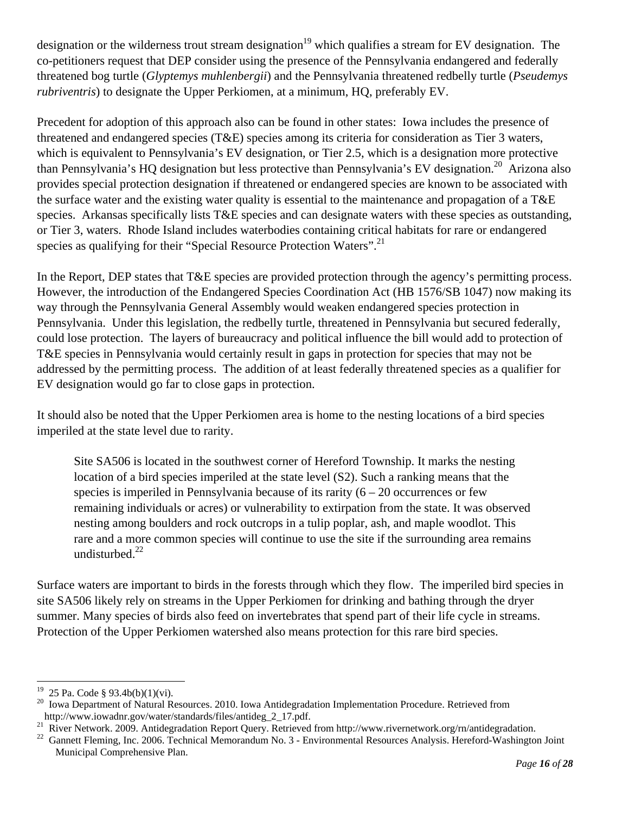designation or the wilderness trout stream designation<sup>19</sup> which qualifies a stream for EV designation. The co-petitioners request that DEP consider using the presence of the Pennsylvania endangered and federally threatened bog turtle (*Glyptemys muhlenbergii*) and the Pennsylvania threatened redbelly turtle (*Pseudemys rubriventris*) to designate the Upper Perkiomen, at a minimum, HQ, preferably EV.

Precedent for adoption of this approach also can be found in other states: Iowa includes the presence of threatened and endangered species (T&E) species among its criteria for consideration as Tier 3 waters, which is equivalent to Pennsylvania's EV designation, or Tier 2.5, which is a designation more protective than Pennsylvania's HQ designation but less protective than Pennsylvania's EV designation.<sup>20</sup> Arizona also provides special protection designation if threatened or endangered species are known to be associated with the surface water and the existing water quality is essential to the maintenance and propagation of a T&E species. Arkansas specifically lists T&E species and can designate waters with these species as outstanding, or Tier 3, waters. Rhode Island includes waterbodies containing critical habitats for rare or endangered species as qualifying for their "Special Resource Protection Waters".<sup>21</sup>

In the Report, DEP states that T&E species are provided protection through the agency's permitting process. However, the introduction of the Endangered Species Coordination Act (HB 1576/SB 1047) now making its way through the Pennsylvania General Assembly would weaken endangered species protection in Pennsylvania. Under this legislation, the redbelly turtle, threatened in Pennsylvania but secured federally, could lose protection. The layers of bureaucracy and political influence the bill would add to protection of T&E species in Pennsylvania would certainly result in gaps in protection for species that may not be addressed by the permitting process. The addition of at least federally threatened species as a qualifier for EV designation would go far to close gaps in protection.

It should also be noted that the Upper Perkiomen area is home to the nesting locations of a bird species imperiled at the state level due to rarity.

Site SA506 is located in the southwest corner of Hereford Township. It marks the nesting location of a bird species imperiled at the state level (S2). Such a ranking means that the species is imperiled in Pennsylvania because of its rarity  $(6 - 20)$  occurrences or few remaining individuals or acres) or vulnerability to extirpation from the state. It was observed nesting among boulders and rock outcrops in a tulip poplar, ash, and maple woodlot. This rare and a more common species will continue to use the site if the surrounding area remains undisturbed. $^{22}$ 

Surface waters are important to birds in the forests through which they flow. The imperiled bird species in site SA506 likely rely on streams in the Upper Perkiomen for drinking and bathing through the dryer summer. Many species of birds also feed on invertebrates that spend part of their life cycle in streams. Protection of the Upper Perkiomen watershed also means protection for this rare bird species.

<sup>19</sup> 25 Pa. Code §  $93.4b(b)(1)(vi)$ .

<sup>&</sup>lt;sup>20</sup> Iowa Department of Natural Resources. 2010. Iowa Antidegradation Implementation Procedure. Retrieved from http://www.iowadnr.gov/water/standards/files/antideg\_2\_17.pdf.

<sup>21</sup> River Network. 2009. Antidegradation Report Query. Retrieved from http://www.rivernetwork.org/rn/antidegradation.<br><sup>21</sup> Gannett Fleming, Inc. 2006. Technical Memorandum No. 3 - Environmental Resources Analysis. Hereford-

Municipal Comprehensive Plan.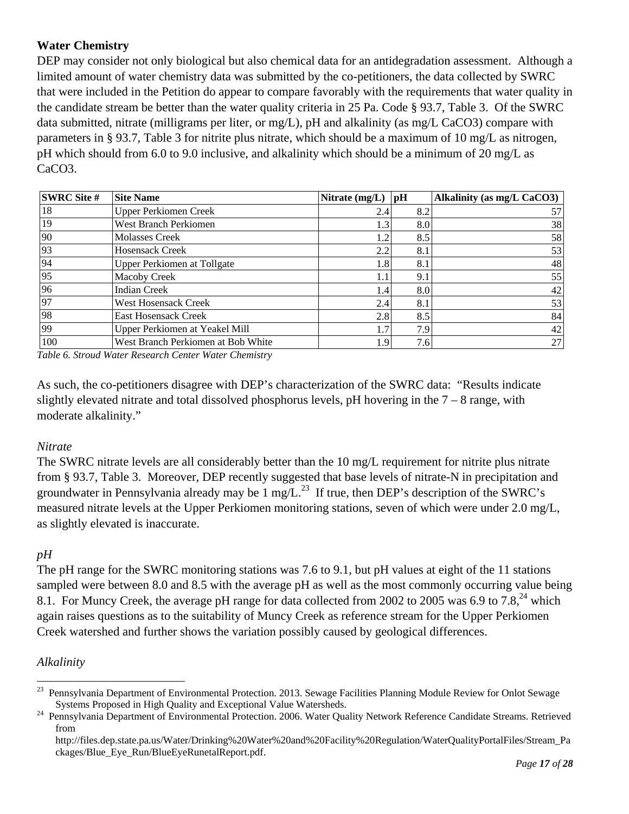# **Water Chemistry**

DEP may consider not only biological but also chemical data for an antidegradation assessment. Although a limited amount of water chemistry data was submitted by the co-petitioners, the data collected by SWRC that were included in the Petition do appear to compare favorably with the requirements that water quality in the candidate stream be better than the water quality criteria in 25 Pa. Code § 93.7, Table 3. Of the SWRC data submitted, nitrate (milligrams per liter, or mg/L), pH and alkalinity (as mg/L CaCO3) compare with parameters in § 93.7, Table 3 for nitrite plus nitrate, which should be a maximum of 10 mg/L as nitrogen, pH which should from 6.0 to 9.0 inclusive, and alkalinity which should be a minimum of 20 mg/L as CaCO3.

| <b>SWRC Site #</b> | <b>Site Name</b>                   | Nitrate $(mg/L)$ | pH   | Alkalinity (as mg/L CaCO3) |
|--------------------|------------------------------------|------------------|------|----------------------------|
| 18                 | <b>Upper Perkiomen Creek</b>       | 2.4              | 8.2  | 57                         |
| 19                 | West Branch Perkiomen              | 1.3              | 8.0  | 38                         |
| 90                 | <b>Molasses Creek</b>              | 1.2              | 8.5  | 58                         |
| 93                 | <b>Hosensack Creek</b>             | 2.2              | 8.1  | 53                         |
| 94                 | <b>Upper Perkiomen at Tollgate</b> | 1.8              | 8.1  | 48                         |
| 95                 | Macoby Creek                       | 1.1              | 9.1  | 55                         |
| 96                 | <b>Indian Creek</b>                | $4.4^{\circ}$    | 8.01 | 42                         |
| 97                 | <b>West Hosensack Creek</b>        | 2.4              | 8.1  | 53                         |
| 98                 | <b>East Hosensack Creek</b>        | 2.8              | 8.5  | 84                         |
| 99                 | Upper Perkiomen at Yeakel Mill     | 1.7              | 7.9  | 42                         |
| 100                | West Branch Perkiomen at Bob White | 1.9              | 7.6  | 27                         |

*Table 6. Stroud Water Research Center Water Chemistry* 

As such, the co-petitioners disagree with DEP's characterization of the SWRC data: "Results indicate slightly elevated nitrate and total dissolved phosphorus levels,  $pH$  hovering in the  $7 - 8$  range, with moderate alkalinity."

### *Nitrate*

The SWRC nitrate levels are all considerably better than the 10 mg/L requirement for nitrite plus nitrate from § 93.7, Table 3. Moreover, DEP recently suggested that base levels of nitrate-N in precipitation and groundwater in Pennsylvania already may be 1 mg/ $L^{23}$  If true, then DEP's description of the SWRC's measured nitrate levels at the Upper Perkiomen monitoring stations, seven of which were under 2.0 mg/L, as slightly elevated is inaccurate.

### *pH*

The pH range for the SWRC monitoring stations was 7.6 to 9.1, but pH values at eight of the 11 stations sampled were between 8.0 and 8.5 with the average pH as well as the most commonly occurring value being 8.1. For Muncy Creek, the average pH range for data collected from 2002 to 2005 was 6.9 to 7.8,  $^{24}$  which again raises questions as to the suitability of Muncy Creek as reference stream for the Upper Perkiomen Creek watershed and further shows the variation possibly caused by geological differences.

## *Alkalinity*

1

<sup>&</sup>lt;sup>23</sup> Pennsylvania Department of Environmental Protection. 2013. Sewage Facilities Planning Module Review for Onlot Sewage

Systems Proposed in High Quality and Exceptional Value Watersheds. 24 Pennsylvania Department of Environmental Protection. 2006. Water Quality Network Reference Candidate Streams. Retrieved from

http://files.dep.state.pa.us/Water/Drinking%20Water%20and%20Facility%20Regulation/WaterQualityPortalFiles/Stream\_Pa ckages/Blue\_Eye\_Run/BlueEyeRunetalReport.pdf.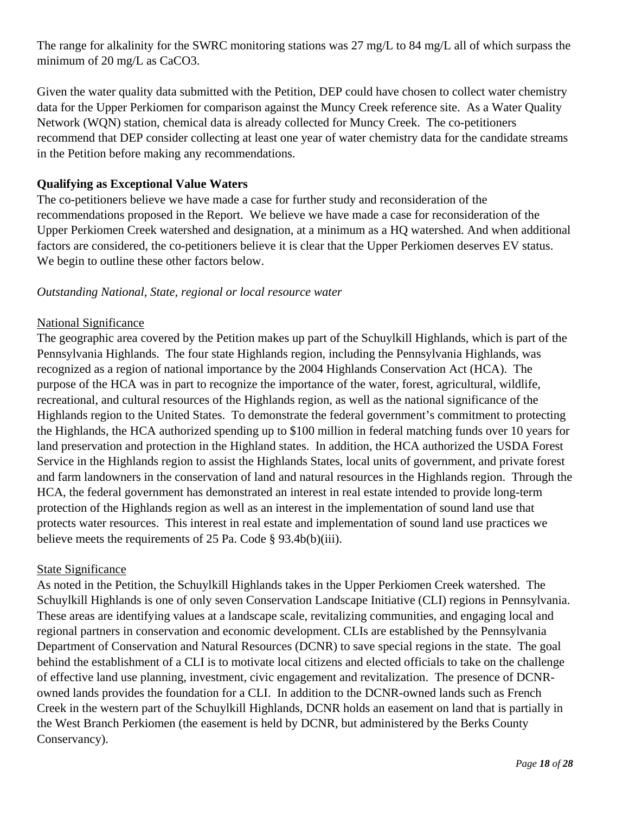The range for alkalinity for the SWRC monitoring stations was 27 mg/L to 84 mg/L all of which surpass the minimum of 20 mg/L as CaCO3.

Given the water quality data submitted with the Petition, DEP could have chosen to collect water chemistry data for the Upper Perkiomen for comparison against the Muncy Creek reference site. As a Water Quality Network (WQN) station, chemical data is already collected for Muncy Creek. The co-petitioners recommend that DEP consider collecting at least one year of water chemistry data for the candidate streams in the Petition before making any recommendations.

### **Qualifying as Exceptional Value Waters**

The co-petitioners believe we have made a case for further study and reconsideration of the recommendations proposed in the Report. We believe we have made a case for reconsideration of the Upper Perkiomen Creek watershed and designation, at a minimum as a HQ watershed. And when additional factors are considered, the co-petitioners believe it is clear that the Upper Perkiomen deserves EV status. We begin to outline these other factors below.

### *Outstanding National, State, regional or local resource water*

#### National Significance

The geographic area covered by the Petition makes up part of the Schuylkill Highlands, which is part of the Pennsylvania Highlands. The four state Highlands region, including the Pennsylvania Highlands, was recognized as a region of national importance by the 2004 Highlands Conservation Act (HCA). The purpose of the HCA was in part to recognize the importance of the water, forest, agricultural, wildlife, recreational, and cultural resources of the Highlands region, as well as the national significance of the Highlands region to the United States. To demonstrate the federal government's commitment to protecting the Highlands, the HCA authorized spending up to \$100 million in federal matching funds over 10 years for land preservation and protection in the Highland states. In addition, the HCA authorized the USDA Forest Service in the Highlands region to assist the Highlands States, local units of government, and private forest and farm landowners in the conservation of land and natural resources in the Highlands region. Through the HCA, the federal government has demonstrated an interest in real estate intended to provide long-term protection of the Highlands region as well as an interest in the implementation of sound land use that protects water resources. This interest in real estate and implementation of sound land use practices we believe meets the requirements of 25 Pa. Code § 93.4b(b)(iii).

### State Significance

As noted in the Petition, the Schuylkill Highlands takes in the Upper Perkiomen Creek watershed. The Schuylkill Highlands is one of only seven Conservation Landscape Initiative (CLI) regions in Pennsylvania. These areas are identifying values at a landscape scale, revitalizing communities, and engaging local and regional partners in conservation and economic development. CLIs are established by the Pennsylvania Department of Conservation and Natural Resources (DCNR) to save special regions in the state. The goal behind the establishment of a CLI is to motivate local citizens and elected officials to take on the challenge of effective land use planning, investment, civic engagement and revitalization. The presence of DCNRowned lands provides the foundation for a CLI. In addition to the DCNR-owned lands such as French Creek in the western part of the Schuylkill Highlands, DCNR holds an easement on land that is partially in the West Branch Perkiomen (the easement is held by DCNR, but administered by the Berks County Conservancy).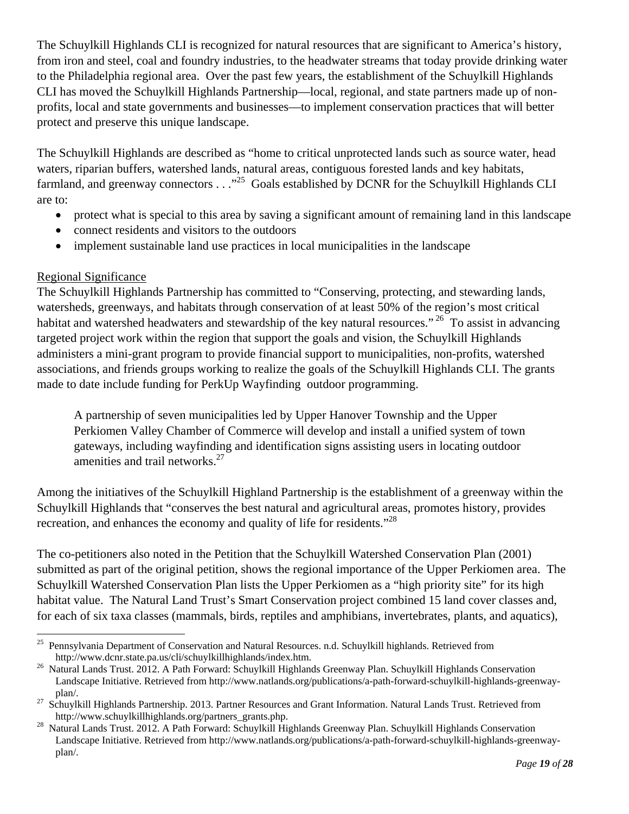The Schuylkill Highlands CLI is recognized for natural resources that are significant to America's history, from iron and steel, coal and foundry industries, to the headwater streams that today provide drinking water to the Philadelphia regional area. Over the past few years, the establishment of the Schuylkill Highlands CLI has moved the Schuylkill Highlands Partnership—local, regional, and state partners made up of nonprofits, local and state governments and businesses—to implement conservation practices that will better protect and preserve this unique landscape.

The Schuylkill Highlands are described as "home to critical unprotected lands such as source water, head waters, riparian buffers, watershed lands, natural areas, contiguous forested lands and key habitats, farmland, and greenway connectors . . .<sup>25</sup> Goals established by DCNR for the Schuylkill Highlands CLI are to:

- protect what is special to this area by saving a significant amount of remaining land in this landscape
- connect residents and visitors to the outdoors
- implement sustainable land use practices in local municipalities in the landscape

## Regional Significance

The Schuylkill Highlands Partnership has committed to "Conserving, protecting, and stewarding lands, watersheds, greenways, and habitats through conservation of at least 50% of the region's most critical habitat and watershed headwaters and stewardship of the key natural resources."<sup>26</sup> To assist in advancing targeted project work within the region that support the goals and vision, the Schuylkill Highlands administers a mini-grant program to provide financial support to municipalities, non-profits, watershed associations, and friends groups working to realize the goals of the Schuylkill Highlands CLI. The grants made to date include funding for PerkUp Wayfinding outdoor programming.

A partnership of seven municipalities led by Upper Hanover Township and the Upper Perkiomen Valley Chamber of Commerce will develop and install a unified system of town gateways, including wayfinding and identification signs assisting users in locating outdoor amenities and trail networks. $27$ 

Among the initiatives of the Schuylkill Highland Partnership is the establishment of a greenway within the Schuylkill Highlands that "conserves the best natural and agricultural areas, promotes history, provides recreation, and enhances the economy and quality of life for residents."<sup>28</sup>

The co-petitioners also noted in the Petition that the Schuylkill Watershed Conservation Plan (2001) submitted as part of the original petition, shows the regional importance of the Upper Perkiomen area. The Schuylkill Watershed Conservation Plan lists the Upper Perkiomen as a "high priority site" for its high habitat value. The Natural Land Trust's Smart Conservation project combined 15 land cover classes and, for each of six taxa classes (mammals, birds, reptiles and amphibians, invertebrates, plants, and aquatics),

 $\overline{a}$ <sup>25</sup> Pennsylvania Department of Conservation and Natural Resources. n.d. Schuylkill highlands. Retrieved from

http://www.dcnr.state.pa.us/cli/schuylkillhighlands/index.htm. 26 Natural Lands Trust. 2012. A Path Forward: Schuylkill Highlands Greenway Plan. Schuylkill Highlands Conservation Landscape Initiative. Retrieved from http://www.natlands.org/publications/a-path-forward-schuylkill-highlands-greenway-

plan/. 27 Schuylkill Highlands Partnership. 2013. Partner Resources and Grant Information. Natural Lands Trust. Retrieved from http://www.schuylkillhighlands.org/partners\_grants.php. 28 Natural Lands Trust. 2012. A Path Forward: Schuylkill Highlands Greenway Plan. Schuylkill Highlands Conservation

Landscape Initiative. Retrieved from http://www.natlands.org/publications/a-path-forward-schuylkill-highlands-greenwayplan/.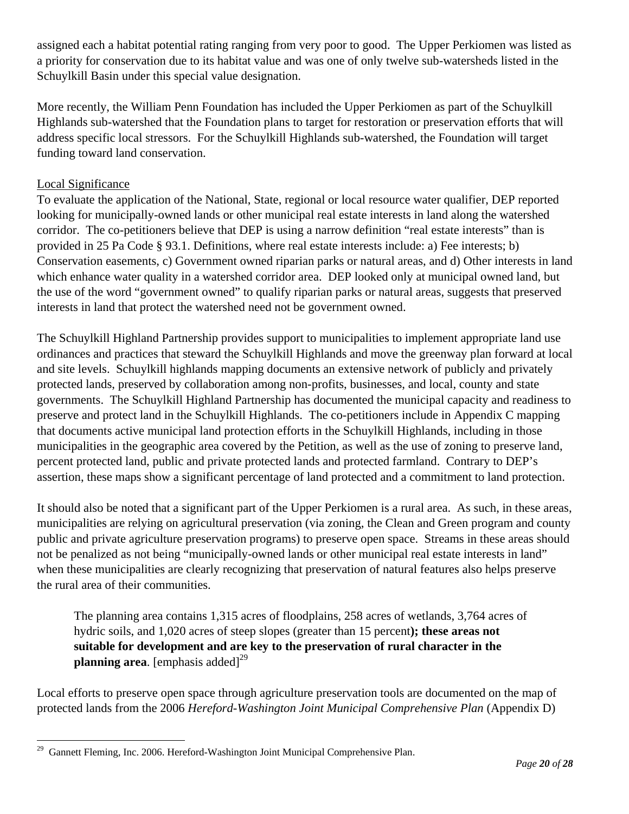assigned each a habitat potential rating ranging from very poor to good. The Upper Perkiomen was listed as a priority for conservation due to its habitat value and was one of only twelve sub-watersheds listed in the Schuylkill Basin under this special value designation.

More recently, the William Penn Foundation has included the Upper Perkiomen as part of the Schuylkill Highlands sub-watershed that the Foundation plans to target for restoration or preservation efforts that will address specific local stressors. For the Schuylkill Highlands sub-watershed, the Foundation will target funding toward land conservation.

# Local Significance

1

To evaluate the application of the National, State, regional or local resource water qualifier, DEP reported looking for municipally-owned lands or other municipal real estate interests in land along the watershed corridor. The co-petitioners believe that DEP is using a narrow definition "real estate interests" than is provided in 25 Pa Code § 93.1. Definitions, where real estate interests include: a) Fee interests; b) Conservation easements, c) Government owned riparian parks or natural areas, and d) Other interests in land which enhance water quality in a watershed corridor area. DEP looked only at municipal owned land, but the use of the word "government owned" to qualify riparian parks or natural areas, suggests that preserved interests in land that protect the watershed need not be government owned.

The Schuylkill Highland Partnership provides support to municipalities to implement appropriate land use ordinances and practices that steward the Schuylkill Highlands and move the greenway plan forward at local and site levels. Schuylkill highlands mapping documents an extensive network of publicly and privately protected lands, preserved by collaboration among non-profits, businesses, and local, county and state governments. The Schuylkill Highland Partnership has documented the municipal capacity and readiness to preserve and protect land in the Schuylkill Highlands. The co-petitioners include in Appendix C mapping that documents active municipal land protection efforts in the Schuylkill Highlands, including in those municipalities in the geographic area covered by the Petition, as well as the use of zoning to preserve land, percent protected land, public and private protected lands and protected farmland. Contrary to DEP's assertion, these maps show a significant percentage of land protected and a commitment to land protection.

It should also be noted that a significant part of the Upper Perkiomen is a rural area. As such, in these areas, municipalities are relying on agricultural preservation (via zoning, the Clean and Green program and county public and private agriculture preservation programs) to preserve open space. Streams in these areas should not be penalized as not being "municipally-owned lands or other municipal real estate interests in land" when these municipalities are clearly recognizing that preservation of natural features also helps preserve the rural area of their communities.

The planning area contains 1,315 acres of floodplains, 258 acres of wetlands, 3,764 acres of hydric soils, and 1,020 acres of steep slopes (greater than 15 percent**); these areas not suitable for development and are key to the preservation of rural character in the planning area**. [emphasis added] $^{29}$ 

Local efforts to preserve open space through agriculture preservation tools are documented on the map of protected lands from the 2006 *Hereford-Washington Joint Municipal Comprehensive Plan* (Appendix D)

<sup>&</sup>lt;sup>29</sup> Gannett Fleming, Inc. 2006. Hereford-Washington Joint Municipal Comprehensive Plan.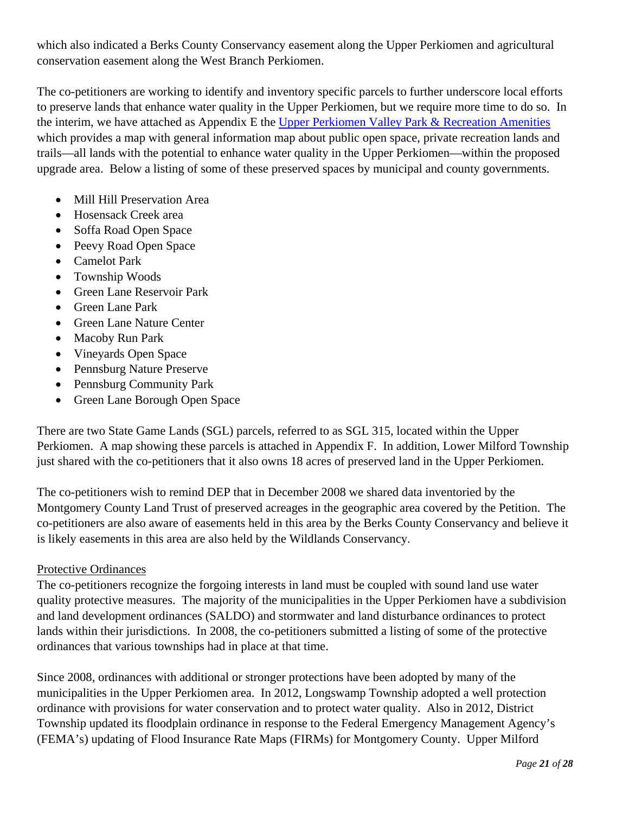which also indicated a Berks County Conservancy easement along the Upper Perkiomen and agricultural conservation easement along the West Branch Perkiomen.

The co-petitioners are working to identify and inventory specific parcels to further underscore local efforts to preserve lands that enhance water quality in the Upper Perkiomen, but we require more time to do so. In the interim, we have attached as Appendix E the Upper Perkiomen Valley Park & Recreation Amenities which provides a map with general information map about public open space, private recreation lands and trails—all lands with the potential to enhance water quality in the Upper Perkiomen—within the proposed upgrade area. Below a listing of some of these preserved spaces by municipal and county governments.

- Mill Hill Preservation Area
- Hosensack Creek area
- Soffa Road Open Space
- Peevy Road Open Space
- Camelot Park
- Township Woods
- Green Lane Reservoir Park
- Green Lane Park
- Green Lane Nature Center
- Macoby Run Park
- Vineyards Open Space
- Pennsburg Nature Preserve
- Pennsburg Community Park
- Green Lane Borough Open Space

There are two State Game Lands (SGL) parcels, referred to as SGL 315, located within the Upper Perkiomen. A map showing these parcels is attached in Appendix F. In addition, Lower Milford Township just shared with the co-petitioners that it also owns 18 acres of preserved land in the Upper Perkiomen.

The co-petitioners wish to remind DEP that in December 2008 we shared data inventoried by the Montgomery County Land Trust of preserved acreages in the geographic area covered by the Petition. The co-petitioners are also aware of easements held in this area by the Berks County Conservancy and believe it is likely easements in this area are also held by the Wildlands Conservancy.

## Protective Ordinances

The co-petitioners recognize the forgoing interests in land must be coupled with sound land use water quality protective measures. The majority of the municipalities in the Upper Perkiomen have a subdivision and land development ordinances (SALDO) and stormwater and land disturbance ordinances to protect lands within their jurisdictions. In 2008, the co-petitioners submitted a listing of some of the protective ordinances that various townships had in place at that time.

Since 2008, ordinances with additional or stronger protections have been adopted by many of the municipalities in the Upper Perkiomen area. In 2012, Longswamp Township adopted a well protection ordinance with provisions for water conservation and to protect water quality. Also in 2012, District Township updated its floodplain ordinance in response to the Federal Emergency Management Agency's (FEMA's) updating of Flood Insurance Rate Maps (FIRMs) for Montgomery County. Upper Milford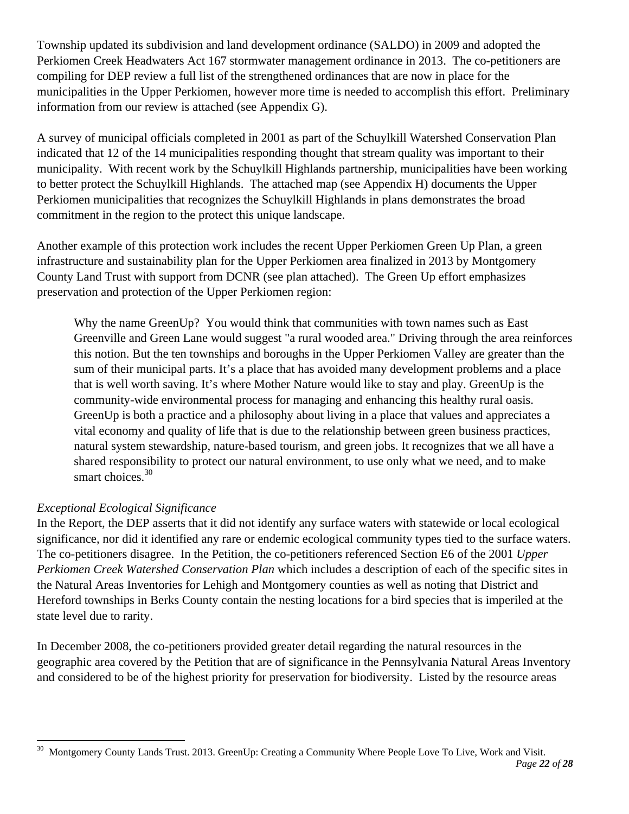Township updated its subdivision and land development ordinance (SALDO) in 2009 and adopted the Perkiomen Creek Headwaters Act 167 stormwater management ordinance in 2013. The co-petitioners are compiling for DEP review a full list of the strengthened ordinances that are now in place for the municipalities in the Upper Perkiomen, however more time is needed to accomplish this effort. Preliminary information from our review is attached (see Appendix G).

A survey of municipal officials completed in 2001 as part of the Schuylkill Watershed Conservation Plan indicated that 12 of the 14 municipalities responding thought that stream quality was important to their municipality. With recent work by the Schuylkill Highlands partnership, municipalities have been working to better protect the Schuylkill Highlands. The attached map (see Appendix H) documents the Upper Perkiomen municipalities that recognizes the Schuylkill Highlands in plans demonstrates the broad commitment in the region to the protect this unique landscape.

Another example of this protection work includes the recent Upper Perkiomen Green Up Plan, a green infrastructure and sustainability plan for the Upper Perkiomen area finalized in 2013 by Montgomery County Land Trust with support from DCNR (see plan attached). The Green Up effort emphasizes preservation and protection of the Upper Perkiomen region:

Why the name GreenUp? You would think that communities with town names such as East Greenville and Green Lane would suggest "a rural wooded area." Driving through the area reinforces this notion. But the ten townships and boroughs in the Upper Perkiomen Valley are greater than the sum of their municipal parts. It's a place that has avoided many development problems and a place that is well worth saving. It's where Mother Nature would like to stay and play. GreenUp is the community-wide environmental process for managing and enhancing this healthy rural oasis. GreenUp is both a practice and a philosophy about living in a place that values and appreciates a vital economy and quality of life that is due to the relationship between green business practices, natural system stewardship, nature-based tourism, and green jobs. It recognizes that we all have a shared responsibility to protect our natural environment, to use only what we need, and to make smart choices.<sup>30</sup>

## *Exceptional Ecological Significance*

In the Report, the DEP asserts that it did not identify any surface waters with statewide or local ecological significance, nor did it identified any rare or endemic ecological community types tied to the surface waters. The co-petitioners disagree. In the Petition, the co-petitioners referenced Section E6 of the 2001 *Upper Perkiomen Creek Watershed Conservation Plan* which includes a description of each of the specific sites in the Natural Areas Inventories for Lehigh and Montgomery counties as well as noting that District and Hereford townships in Berks County contain the nesting locations for a bird species that is imperiled at the state level due to rarity.

In December 2008, the co-petitioners provided greater detail regarding the natural resources in the geographic area covered by the Petition that are of significance in the Pennsylvania Natural Areas Inventory and considered to be of the highest priority for preservation for biodiversity. Listed by the resource areas

<sup>1</sup> <sup>30</sup> Montgomery County Lands Trust. 2013. GreenUp: Creating a Community Where People Love To Live, Work and Visit.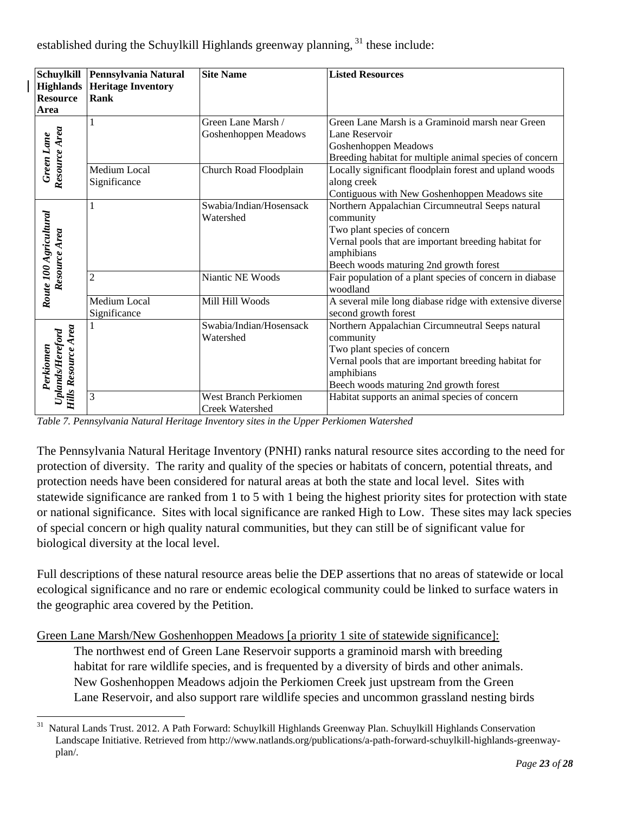established during the Schuylkill Highlands greenway planning,  $31$  these include:

| <b>Schuylkill</b><br><b>Resource</b><br>Area         | Pennsylvania Natural<br><b>Highlands   Heritage Inventory</b><br>Rank | <b>Site Name</b>                                       | <b>Listed Resources</b>                                                                                                                                                                                       |
|------------------------------------------------------|-----------------------------------------------------------------------|--------------------------------------------------------|---------------------------------------------------------------------------------------------------------------------------------------------------------------------------------------------------------------|
| Resource Area<br>Green Lane                          |                                                                       | Green Lane Marsh /<br>Goshenhoppen Meadows             | Green Lane Marsh is a Graminoid marsh near Green<br>Lane Reservoir<br>Goshenhoppen Meadows<br>Breeding habitat for multiple animal species of concern                                                         |
|                                                      | Medium Local<br>Significance                                          | Church Road Floodplain                                 | Locally significant floodplain forest and upland woods<br>along creek<br>Contiguous with New Goshenhoppen Meadows site                                                                                        |
| Route 100 Agricultural<br>Resource Area              |                                                                       | Swabia/Indian/Hosensack<br>Watershed                   | Northern Appalachian Circumneutral Seeps natural<br>community<br>Two plant species of concern<br>Vernal pools that are important breeding habitat for<br>amphibians<br>Beech woods maturing 2nd growth forest |
|                                                      | $\overline{c}$                                                        | Niantic NE Woods                                       | Fair population of a plant species of concern in diabase<br>woodland                                                                                                                                          |
|                                                      | Medium Local<br>Significance                                          | Mill Hill Woods                                        | A several mile long diabase ridge with extensive diverse<br>second growth forest                                                                                                                              |
| Hills Resource Area<br>Uplands/Hereford<br>Perkiomen |                                                                       | Swabia/Indian/Hosensack<br>Watershed                   | Northern Appalachian Circumneutral Seeps natural<br>community<br>Two plant species of concern<br>Vernal pools that are important breeding habitat for<br>amphibians<br>Beech woods maturing 2nd growth forest |
|                                                      | 3                                                                     | <b>West Branch Perkiomen</b><br><b>Creek Watershed</b> | Habitat supports an animal species of concern                                                                                                                                                                 |

*Table 7. Pennsylvania Natural Heritage Inventory sites in the Upper Perkiomen Watershed* 

The Pennsylvania Natural Heritage Inventory (PNHI) ranks natural resource sites according to the need for protection of diversity. The rarity and quality of the species or habitats of concern, potential threats, and protection needs have been considered for natural areas at both the state and local level. Sites with statewide significance are ranked from 1 to 5 with 1 being the highest priority sites for protection with state or national significance. Sites with local significance are ranked High to Low. These sites may lack species of special concern or high quality natural communities, but they can still be of significant value for biological diversity at the local level.

Full descriptions of these natural resource areas belie the DEP assertions that no areas of statewide or local ecological significance and no rare or endemic ecological community could be linked to surface waters in the geographic area covered by the Petition.

Green Lane Marsh/New Goshenhoppen Meadows [a priority 1 site of statewide significance]:

The northwest end of Green Lane Reservoir supports a graminoid marsh with breeding habitat for rare wildlife species, and is frequented by a diversity of birds and other animals. New Goshenhoppen Meadows adjoin the Perkiomen Creek just upstream from the Green Lane Reservoir, and also support rare wildlife species and uncommon grassland nesting birds

<sup>31</sup> 31 Natural Lands Trust. 2012. A Path Forward: Schuylkill Highlands Greenway Plan. Schuylkill Highlands Conservation Landscape Initiative. Retrieved from http://www.natlands.org/publications/a-path-forward-schuylkill-highlands-greenwayplan/.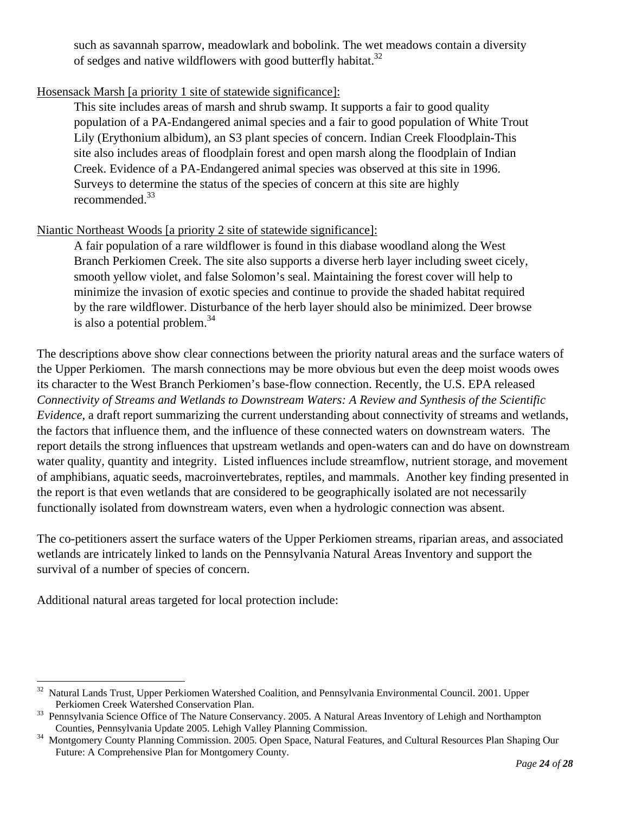such as savannah sparrow, meadowlark and bobolink. The wet meadows contain a diversity of sedges and native wildflowers with good butterfly habitat.<sup>32</sup>

## Hosensack Marsh [a priority 1 site of statewide significance]:

This site includes areas of marsh and shrub swamp. It supports a fair to good quality population of a PA-Endangered animal species and a fair to good population of White Trout Lily (Erythonium albidum), an S3 plant species of concern. Indian Creek Floodplain-This site also includes areas of floodplain forest and open marsh along the floodplain of Indian Creek. Evidence of a PA-Endangered animal species was observed at this site in 1996. Surveys to determine the status of the species of concern at this site are highly recommended.<sup>33</sup>

# Niantic Northeast Woods [a priority 2 site of statewide significance]:

A fair population of a rare wildflower is found in this diabase woodland along the West Branch Perkiomen Creek. The site also supports a diverse herb layer including sweet cicely, smooth yellow violet, and false Solomon's seal. Maintaining the forest cover will help to minimize the invasion of exotic species and continue to provide the shaded habitat required by the rare wildflower. Disturbance of the herb layer should also be minimized. Deer browse is also a potential problem. $34$ 

The descriptions above show clear connections between the priority natural areas and the surface waters of the Upper Perkiomen. The marsh connections may be more obvious but even the deep moist woods owes its character to the West Branch Perkiomen's base-flow connection. Recently, the U.S. EPA released *Connectivity of Streams and Wetlands to Downstream Waters: A Review and Synthesis of the Scientific Evidence*, a draft report summarizing the current understanding about connectivity of streams and wetlands, the factors that influence them, and the influence of these connected waters on downstream waters. The report details the strong influences that upstream wetlands and open-waters can and do have on downstream water quality, quantity and integrity. Listed influences include streamflow, nutrient storage, and movement of amphibians, aquatic seeds, macroinvertebrates, reptiles, and mammals. Another key finding presented in the report is that even wetlands that are considered to be geographically isolated are not necessarily functionally isolated from downstream waters, even when a hydrologic connection was absent.

The co-petitioners assert the surface waters of the Upper Perkiomen streams, riparian areas, and associated wetlands are intricately linked to lands on the Pennsylvania Natural Areas Inventory and support the survival of a number of species of concern.

Additional natural areas targeted for local protection include:

 $\overline{a}$ 

<sup>&</sup>lt;sup>32</sup> Natural Lands Trust, Upper Perkiomen Watershed Coalition, and Pennsylvania Environmental Council. 2001. Upper Perkiomen Creek Watershed Conservation Plan.<br><sup>33</sup> Pennsylvania Science Office of The Nature Conservancy. 2005. A Natural Areas Inventory of Lehigh and Northampton

Counties, Pennsylvania Update 2005. Lehigh Valley Planning Commission. 34 Montgomery County Planning Commission. 2005. Open Space, Natural Features, and Cultural Resources Plan Shaping Our

Future: A Comprehensive Plan for Montgomery County.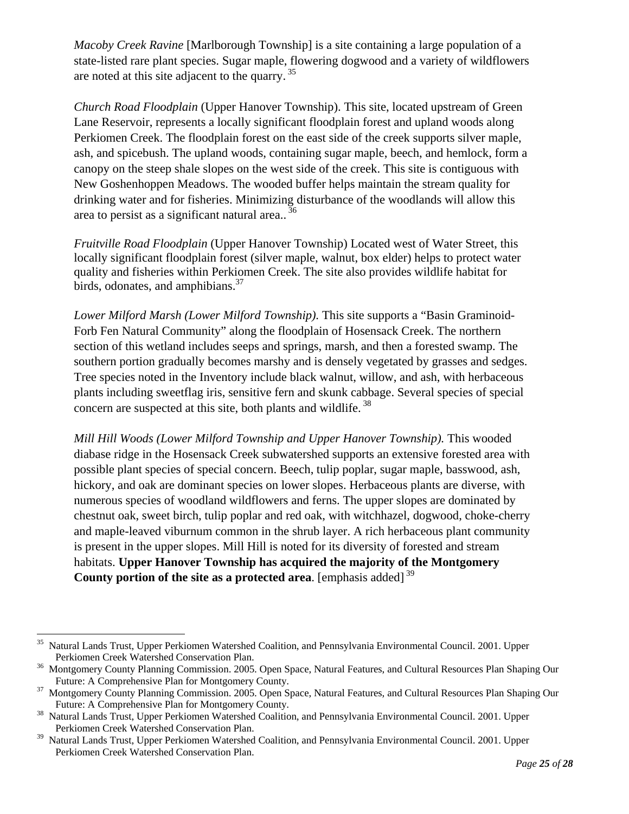*Macoby Creek Ravine* [Marlborough Township] is a site containing a large population of a state-listed rare plant species. Sugar maple, flowering dogwood and a variety of wildflowers are noted at this site adjacent to the quarry.<sup>35</sup>

*Church Road Floodplain* (Upper Hanover Township). This site, located upstream of Green Lane Reservoir, represents a locally significant floodplain forest and upland woods along Perkiomen Creek. The floodplain forest on the east side of the creek supports silver maple, ash, and spicebush. The upland woods, containing sugar maple, beech, and hemlock, form a canopy on the steep shale slopes on the west side of the creek. This site is contiguous with New Goshenhoppen Meadows. The wooded buffer helps maintain the stream quality for drinking water and for fisheries. Minimizing disturbance of the woodlands will allow this area to persist as a significant natural area.. 36

*Fruitville Road Floodplain* (Upper Hanover Township) Located west of Water Street, this locally significant floodplain forest (silver maple, walnut, box elder) helps to protect water quality and fisheries within Perkiomen Creek. The site also provides wildlife habitat for birds, odonates, and amphibians.<sup>37</sup>

*Lower Milford Marsh (Lower Milford Township).* This site supports a "Basin Graminoid-Forb Fen Natural Community" along the floodplain of Hosensack Creek. The northern section of this wetland includes seeps and springs, marsh, and then a forested swamp. The southern portion gradually becomes marshy and is densely vegetated by grasses and sedges. Tree species noted in the Inventory include black walnut, willow, and ash, with herbaceous plants including sweetflag iris, sensitive fern and skunk cabbage. Several species of special concern are suspected at this site, both plants and wildlife.<sup>38</sup>

*Mill Hill Woods (Lower Milford Township and Upper Hanover Township)*. This wooded diabase ridge in the Hosensack Creek subwatershed supports an extensive forested area with possible plant species of special concern. Beech, tulip poplar, sugar maple, basswood, ash, hickory, and oak are dominant species on lower slopes. Herbaceous plants are diverse, with numerous species of woodland wildflowers and ferns. The upper slopes are dominated by chestnut oak, sweet birch, tulip poplar and red oak, with witchhazel, dogwood, choke-cherry and maple-leaved viburnum common in the shrub layer. A rich herbaceous plant community is present in the upper slopes. Mill Hill is noted for its diversity of forested and stream habitats. **Upper Hanover Township has acquired the majority of the Montgomery County portion of the site as a protected area.** [emphasis added]<sup>39</sup>

 $\overline{a}$ <sup>35</sup> Natural Lands Trust, Upper Perkiomen Watershed Coalition, and Pennsylvania Environmental Council. 2001. Upper

Perkiomen Creek Watershed Conservation Plan. 36 Montgomery County Planning Commission. 2005. Open Space, Natural Features, and Cultural Resources Plan Shaping Our Future: A Comprehensive Plan for Montgomery County. 37 Montgomery County Planning Commission. 2005. Open Space, Natural Features, and Cultural Resources Plan Shaping Our

Future: A Comprehensive Plan for Montgomery County.<br><sup>38</sup> Natural Lands Trust, Upper Perkiomen Watershed Coalition, and Pennsylvania Environmental Council. 2001. Upper

Perkiomen Creek Watershed Conservation Plan.

<sup>&</sup>lt;sup>39</sup> Natural Lands Trust, Upper Perkiomen Watershed Coalition, and Pennsylvania Environmental Council. 2001. Upper Perkiomen Creek Watershed Conservation Plan.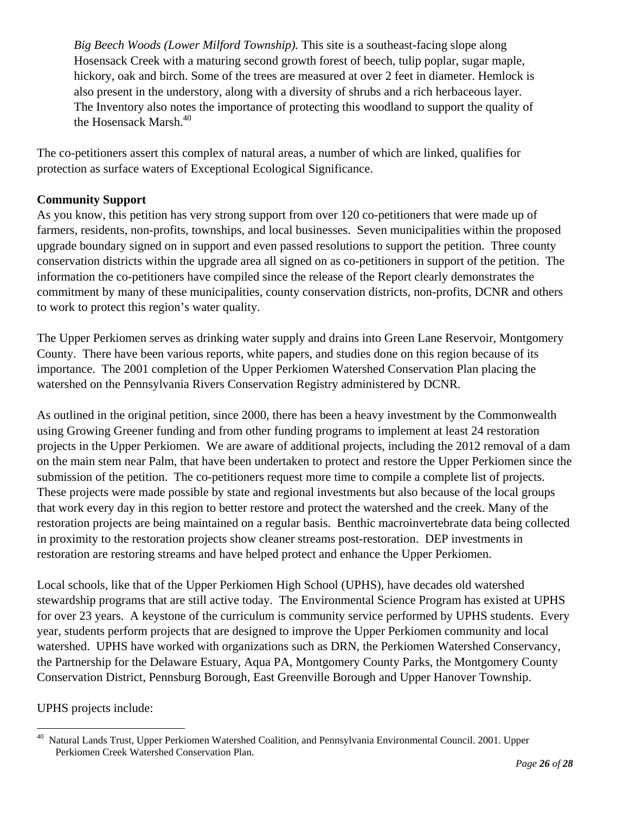*Big Beech Woods (Lower Milford Township).* This site is a southeast-facing slope along Hosensack Creek with a maturing second growth forest of beech, tulip poplar, sugar maple, hickory, oak and birch. Some of the trees are measured at over 2 feet in diameter. Hemlock is also present in the understory, along with a diversity of shrubs and a rich herbaceous layer. The Inventory also notes the importance of protecting this woodland to support the quality of the Hosensack Marsh.<sup>40</sup>

The co-petitioners assert this complex of natural areas, a number of which are linked, qualifies for protection as surface waters of Exceptional Ecological Significance.

### **Community Support**

As you know, this petition has very strong support from over 120 co-petitioners that were made up of farmers, residents, non-profits, townships, and local businesses. Seven municipalities within the proposed upgrade boundary signed on in support and even passed resolutions to support the petition. Three county conservation districts within the upgrade area all signed on as co-petitioners in support of the petition. The information the co-petitioners have compiled since the release of the Report clearly demonstrates the commitment by many of these municipalities, county conservation districts, non-profits, DCNR and others to work to protect this region's water quality.

The Upper Perkiomen serves as drinking water supply and drains into Green Lane Reservoir, Montgomery County. There have been various reports, white papers, and studies done on this region because of its importance. The 2001 completion of the Upper Perkiomen Watershed Conservation Plan placing the watershed on the Pennsylvania Rivers Conservation Registry administered by DCNR.

As outlined in the original petition, since 2000, there has been a heavy investment by the Commonwealth using Growing Greener funding and from other funding programs to implement at least 24 restoration projects in the Upper Perkiomen. We are aware of additional projects, including the 2012 removal of a dam on the main stem near Palm, that have been undertaken to protect and restore the Upper Perkiomen since the submission of the petition. The co-petitioners request more time to compile a complete list of projects. These projects were made possible by state and regional investments but also because of the local groups that work every day in this region to better restore and protect the watershed and the creek. Many of the restoration projects are being maintained on a regular basis. Benthic macroinvertebrate data being collected in proximity to the restoration projects show cleaner streams post-restoration. DEP investments in restoration are restoring streams and have helped protect and enhance the Upper Perkiomen.

Local schools, like that of the Upper Perkiomen High School (UPHS), have decades old watershed stewardship programs that are still active today. The Environmental Science Program has existed at UPHS for over 23 years. A keystone of the curriculum is community service performed by UPHS students. Every year, students perform projects that are designed to improve the Upper Perkiomen community and local watershed. UPHS have worked with organizations such as DRN, the Perkiomen Watershed Conservancy, the Partnership for the Delaware Estuary, Aqua PA, Montgomery County Parks, the Montgomery County Conservation District, Pennsburg Borough, East Greenville Borough and Upper Hanover Township.

## UPHS projects include:

1

Natural Lands Trust, Upper Perkiomen Watershed Coalition, and Pennsylvania Environmental Council. 2001. Upper Perkiomen Creek Watershed Conservation Plan.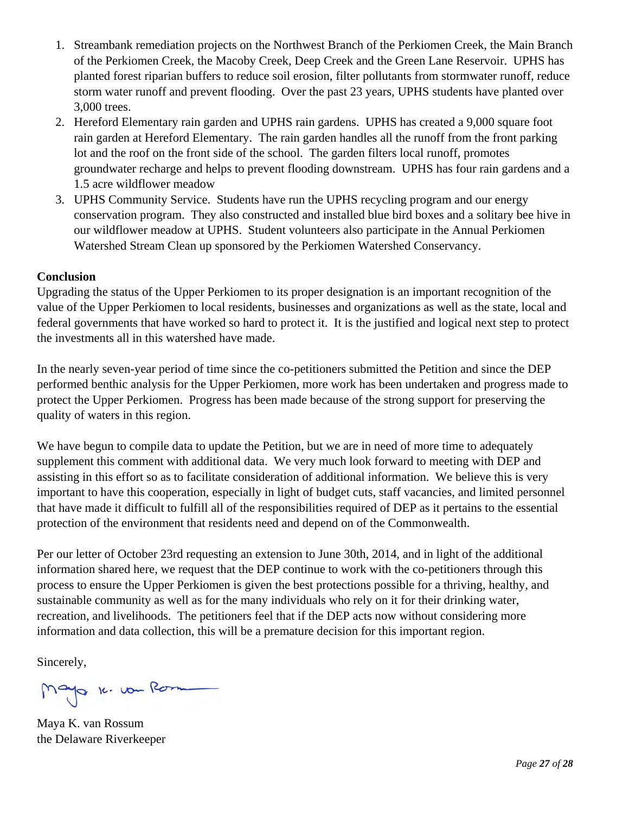- 1. Streambank remediation projects on the Northwest Branch of the Perkiomen Creek, the Main Branch of the Perkiomen Creek, the Macoby Creek, Deep Creek and the Green Lane Reservoir. UPHS has planted forest riparian buffers to reduce soil erosion, filter pollutants from stormwater runoff, reduce storm water runoff and prevent flooding. Over the past 23 years, UPHS students have planted over 3,000 trees.
- 2. Hereford Elementary rain garden and UPHS rain gardens. UPHS has created a 9,000 square foot rain garden at Hereford Elementary. The rain garden handles all the runoff from the front parking lot and the roof on the front side of the school. The garden filters local runoff, promotes groundwater recharge and helps to prevent flooding downstream. UPHS has four rain gardens and a 1.5 acre wildflower meadow
- 3. UPHS Community Service. Students have run the UPHS recycling program and our energy conservation program. They also constructed and installed blue bird boxes and a solitary bee hive in our wildflower meadow at UPHS. Student volunteers also participate in the Annual Perkiomen Watershed Stream Clean up sponsored by the Perkiomen Watershed Conservancy.

## **Conclusion**

Upgrading the status of the Upper Perkiomen to its proper designation is an important recognition of the value of the Upper Perkiomen to local residents, businesses and organizations as well as the state, local and federal governments that have worked so hard to protect it. It is the justified and logical next step to protect the investments all in this watershed have made.

In the nearly seven-year period of time since the co-petitioners submitted the Petition and since the DEP performed benthic analysis for the Upper Perkiomen, more work has been undertaken and progress made to protect the Upper Perkiomen. Progress has been made because of the strong support for preserving the quality of waters in this region.

We have begun to compile data to update the Petition, but we are in need of more time to adequately supplement this comment with additional data. We very much look forward to meeting with DEP and assisting in this effort so as to facilitate consideration of additional information. We believe this is very important to have this cooperation, especially in light of budget cuts, staff vacancies, and limited personnel that have made it difficult to fulfill all of the responsibilities required of DEP as it pertains to the essential protection of the environment that residents need and depend on of the Commonwealth.

Per our letter of October 23rd requesting an extension to June 30th, 2014, and in light of the additional information shared here, we request that the DEP continue to work with the co-petitioners through this process to ensure the Upper Perkiomen is given the best protections possible for a thriving, healthy, and sustainable community as well as for the many individuals who rely on it for their drinking water, recreation, and livelihoods. The petitioners feel that if the DEP acts now without considering more information and data collection, this will be a premature decision for this important region.

Sincerely,

Mayo 1. vou Rom

Maya K. van Rossum the Delaware Riverkeeper